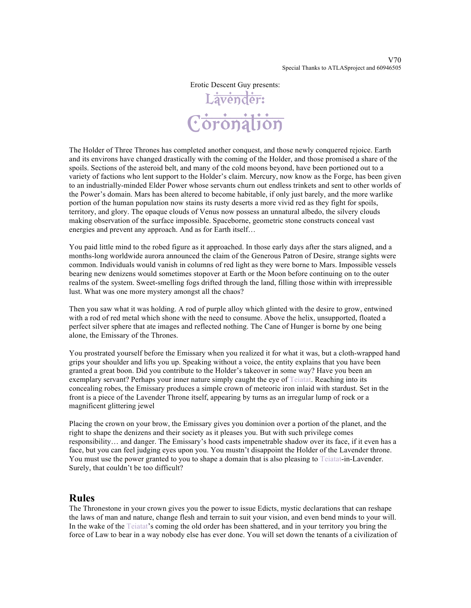Erotic Descent Guy presents:

# L<del>ävender:</del> **Coronation**

The Holder of Three Thrones has completed another conquest, and those newly conquered rejoice. Earth and its environs have changed drastically with the coming of the Holder, and those promised a share of the spoils. Sections of the asteroid belt, and many of the cold moons beyond, have been portioned out to a variety of factions who lent support to the Holder's claim. Mercury, now know as the Forge, has been given to an industrially-minded Elder Power whose servants churn out endless trinkets and sent to other worlds of the Power's domain. Mars has been altered to become habitable, if only just barely, and the more warlike portion of the human population now stains its rusty deserts a more vivid red as they fight for spoils, territory, and glory. The opaque clouds of Venus now possess an unnatural albedo, the silvery clouds making observation of the surface impossible. Spaceborne, geometric stone constructs conceal vast energies and prevent any approach. And as for Earth itself…

You paid little mind to the robed figure as it approached. In those early days after the stars aligned, and a months-long worldwide aurora announced the claim of the Generous Patron of Desire, strange sights were common. Individuals would vanish in columns of red light as they were borne to Mars. Impossible vessels bearing new denizens would sometimes stopover at Earth or the Moon before continuing on to the outer realms of the system. Sweet-smelling fogs drifted through the land, filling those within with irrepressible lust. What was one more mystery amongst all the chaos?

Then you saw what it was holding. A rod of purple alloy which glinted with the desire to grow, entwined with a rod of red metal which shone with the need to consume. Above the helix, unsupported, floated a perfect silver sphere that ate images and reflected nothing. The Cane of Hunger is borne by one being alone, the Emissary of the Thrones.

You prostrated yourself before the Emissary when you realized it for what it was, but a cloth-wrapped hand grips your shoulder and lifts you up. Speaking without a voice, the entity explains that you have been granted a great boon. Did you contribute to the Holder's takeover in some way? Have you been an exemplary servant? Perhaps your inner nature simply caught the eye of Teiatat. Reaching into its concealing robes, the Emissary produces a simple crown of meteoric iron inlaid with stardust. Set in the front is a piece of the Lavender Throne itself, appearing by turns as an irregular lump of rock or a magnificent glittering jewel

Placing the crown on your brow, the Emissary gives you dominion over a portion of the planet, and the right to shape the denizens and their society as it pleases you. But with such privilege comes responsibility… and danger. The Emissary's hood casts impenetrable shadow over its face, if it even has a face, but you can feel judging eyes upon you. You mustn't disappoint the Holder of the Lavender throne. You must use the power granted to you to shape a domain that is also pleasing to Teiatat-in-Lavender. Surely, that couldn't be too difficult?

#### **Rules**

The Thronestone in your crown gives you the power to issue Edicts, mystic declarations that can reshape the laws of man and nature, change flesh and terrain to suit your vision, and even bend minds to your will. In the wake of the Teiatat's coming the old order has been shattered, and in your territory you bring the force of Law to bear in a way nobody else has ever done. You will set down the tenants of a civilization of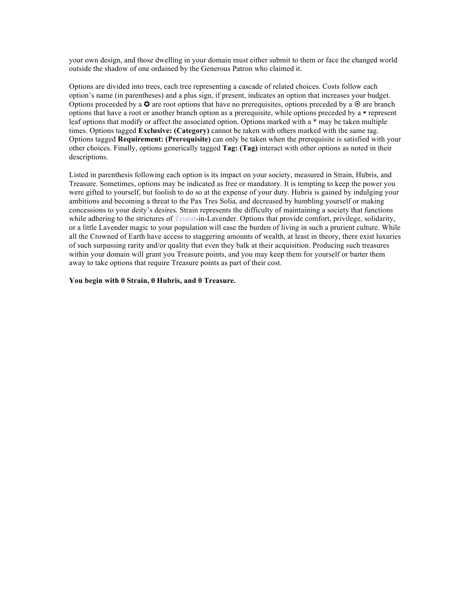your own design, and those dwelling in your domain must either submit to them or face the changed world outside the shadow of one ordained by the Generous Patron who claimed it.

Options are divided into trees, each tree representing a cascade of related choices. Costs follow each option's name (in parentheses) and a plus sign, if present, indicates an option that increases your budget. Options proceeded by a  $\bullet$  are root options that have no prerequisites, options preceded by a  $\bullet$  are branch options that have a root or another branch option as a prerequisite, while options preceded by  $a \cdot$  represent leaf options that modify or affect the associated option. Options marked with a \* may be taken multiple times. Options tagged **Exclusive: (Category)** cannot be taken with others marked with the same tag. Options tagged **Requirement: (Prerequisite)** can only be taken when the prerequisite is satisfied with your other choices. Finally, options generically tagged **Tag: (Tag)** interact with other options as noted in their descriptions.

Listed in parenthesis following each option is its impact on your society, measured in Strain, Hubris, and Treasure. Sometimes, options may be indicated as free or mandatory. It is tempting to keep the power you were gifted to yourself, but foolish to do so at the expense of your duty. Hubris is gained by indulging your ambitions and becoming a threat to the Pax Tres Solia, and decreased by humbling yourself or making concessions to your deity's desires. Strain represents the difficulty of maintaining a society that functions while adhering to the strictures of Teiatat-in-Lavender. Options that provide comfort, privilege, solidarity, or a little Lavender magic to your population will ease the burden of living in such a prurient culture. While all the Crowned of Earth have access to staggering amounts of wealth, at least in theory, there exist luxuries of such surpassing rarity and/or quality that even they balk at their acquisition. Producing such treasures within your domain will grant you Treasure points, and you may keep them for yourself or barter them away to take options that require Treasure points as part of their cost.

#### **You begin with 0 Strain, 0 Hubris, and 0 Treasure.**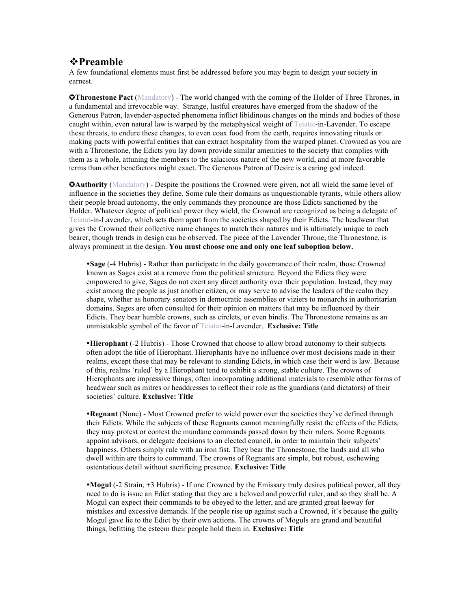#### v**Preamble**

A few foundational elements must first be addressed before you may begin to design your society in earnest.

**OThronestone Pact** (Mandatory) - The world changed with the coming of the Holder of Three Thrones, in a fundamental and irrevocable way. Strange, lustful creatures have emerged from the shadow of the Generous Patron, lavender-aspected phenomena inflict libidinous changes on the minds and bodies of those caught within, even natural law is warped by the metaphysical weight of Teiatat-in-Lavender. To escape these threats, to endure these changes, to even coax food from the earth, requires innovating rituals or making pacts with powerful entities that can extract hospitality from the warped planet. Crowned as you are with a Thronestone, the Edicts you lay down provide similar amenities to the society that complies with them as a whole, attuning the members to the salacious nature of the new world, and at more favorable terms than other benefactors might exact. The Generous Patron of Desire is a caring god indeed.

**CAuthority** (Mandatory) - Despite the positions the Crowned were given, not all wield the same level of influence in the societies they define. Some rule their domains as unquestionable tyrants, while others allow their people broad autonomy, the only commands they pronounce are those Edicts sanctioned by the Holder. Whatever degree of political power they wield, the Crowned are recognized as being a delegate of Teiatat-in-Lavender, which sets them apart from the societies shaped by their Edicts. The headwear that gives the Crowned their collective name changes to match their natures and is ultimately unique to each bearer, though trends in design can be observed. The piece of the Lavender Throne, the Thronestone, is always prominent in the design. **You must choose one and only one leaf suboption below.**

**Sage** (-4 Hubris) - Rather than participate in the daily governance of their realm, those Crowned known as Sages exist at a remove from the political structure. Beyond the Edicts they were empowered to give, Sages do not exert any direct authority over their population. Instead, they may exist among the people as just another citizen, or may serve to advise the leaders of the realm they shape, whether as honorary senators in democratic assemblies or viziers to monarchs in authoritarian domains. Sages are often consulted for their opinion on matters that may be influenced by their Edicts. They bear humble crowns, such as circlets, or even bindis. The Thronestone remains as an unmistakable symbol of the favor of Teiatat-in-Lavender. **Exclusive: Title**

**Hierophant** (-2 Hubris) - Those Crowned that choose to allow broad autonomy to their subjects often adopt the title of Hierophant. Hierophants have no influence over most decisions made in their realms, except those that may be relevant to standing Edicts, in which case their word is law. Because of this, realms 'ruled' by a Hierophant tend to exhibit a strong, stable culture. The crowns of Hierophants are impressive things, often incorporating additional materials to resemble other forms of headwear such as mitres or headdresses to reflect their role as the guardians (and dictators) of their societies' culture. **Exclusive: Title**

**Regnant** (None) - Most Crowned prefer to wield power over the societies they've defined through their Edicts. While the subjects of these Regnants cannot meaningfully resist the effects of the Edicts, they may protest or contest the mundane commands passed down by their rulers. Some Regnants appoint advisors, or delegate decisions to an elected council, in order to maintain their subjects' happiness. Others simply rule with an iron fist. They bear the Thronestone, the lands and all who dwell within are theirs to command. The crowns of Regnants are simple, but robust, eschewing ostentatious detail without sacrificing presence. **Exclusive: Title**

**Mogul** (-2 Strain, +3 Hubris) - If one Crowned by the Emissary truly desires political power, all they need to do is issue an Edict stating that they are a beloved and powerful ruler, and so they shall be. A Mogul can expect their commands to be obeyed to the letter, and are granted great leeway for mistakes and excessive demands. If the people rise up against such a Crowned, it's because the guilty Mogul gave lie to the Edict by their own actions. The crowns of Moguls are grand and beautiful things, befitting the esteem their people hold them in. **Exclusive: Title**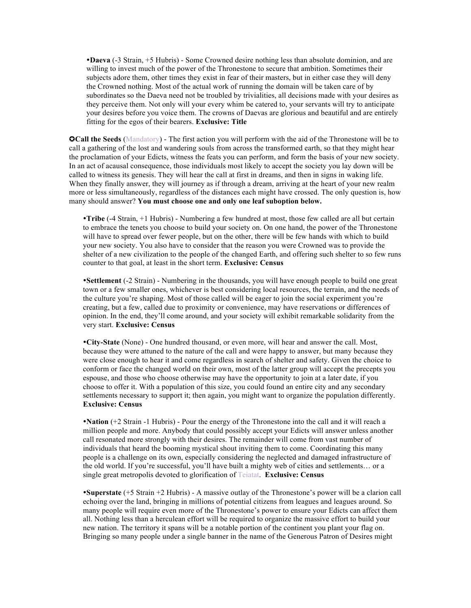**Daeva** (-3 Strain, +5 Hubris) - Some Crowned desire nothing less than absolute dominion, and are willing to invest much of the power of the Thronestone to secure that ambition. Sometimes their subjects adore them, other times they exist in fear of their masters, but in either case they will deny the Crowned nothing. Most of the actual work of running the domain will be taken care of by subordinates so the Daeva need not be troubled by trivialities, all decisions made with your desires as they perceive them. Not only will your every whim be catered to, your servants will try to anticipate your desires before you voice them. The crowns of Daevas are glorious and beautiful and are entirely fitting for the egos of their bearers. **Exclusive: Title**

**Call the Seeds** (Mandatory) - The first action you will perform with the aid of the Thronestone will be to call a gathering of the lost and wandering souls from across the transformed earth, so that they might hear the proclamation of your Edicts, witness the feats you can perform, and form the basis of your new society. In an act of acausal consequence, those individuals most likely to accept the society you lay down will be called to witness its genesis. They will hear the call at first in dreams, and then in signs in waking life. When they finally answer, they will journey as if through a dream, arriving at the heart of your new realm more or less simultaneously, regardless of the distances each might have crossed. The only question is, how many should answer? **You must choose one and only one leaf suboption below.**

**Tribe** (-4 Strain, +1 Hubris) - Numbering a few hundred at most, those few called are all but certain to embrace the tenets you choose to build your society on. On one hand, the power of the Thronestone will have to spread over fewer people, but on the other, there will be few hands with which to build your new society. You also have to consider that the reason you were Crowned was to provide the shelter of a new civilization to the people of the changed Earth, and offering such shelter to so few runs counter to that goal, at least in the short term. **Exclusive: Census**

**Settlement** (-2 Strain) - Numbering in the thousands, you will have enough people to build one great town or a few smaller ones, whichever is best considering local resources, the terrain, and the needs of the culture you're shaping. Most of those called will be eager to join the social experiment you're creating, but a few, called due to proximity or convenience, may have reservations or differences of opinion. In the end, they'll come around, and your society will exhibit remarkable solidarity from the very start. **Exclusive: Census**

**City-State** (None) - One hundred thousand, or even more, will hear and answer the call. Most, because they were attuned to the nature of the call and were happy to answer, but many because they were close enough to hear it and come regardless in search of shelter and safety. Given the choice to conform or face the changed world on their own, most of the latter group will accept the precepts you espouse, and those who choose otherwise may have the opportunity to join at a later date, if you choose to offer it. With a population of this size, you could found an entire city and any secondary settlements necessary to support it; then again, you might want to organize the population differently. **Exclusive: Census**

**Nation** (+2 Strain -1 Hubris) - Pour the energy of the Thronestone into the call and it will reach a million people and more. Anybody that could possibly accept your Edicts will answer unless another call resonated more strongly with their desires. The remainder will come from vast number of individuals that heard the booming mystical shout inviting them to come. Coordinating this many people is a challenge on its own, especially considering the neglected and damaged infrastructure of the old world. If you're successful, you'll have built a mighty web of cities and settlements… or a single great metropolis devoted to glorification of Teiatat. **Exclusive: Census**

**Superstate** (+5 Strain +2 Hubris) - A massive outlay of the Thronestone's power will be a clarion call echoing over the land, bringing in millions of potential citizens from leagues and leagues around. So many people will require even more of the Thronestone's power to ensure your Edicts can affect them all. Nothing less than a herculean effort will be required to organize the massive effort to build your new nation. The territory it spans will be a notable portion of the continent you plant your flag on. Bringing so many people under a single banner in the name of the Generous Patron of Desires might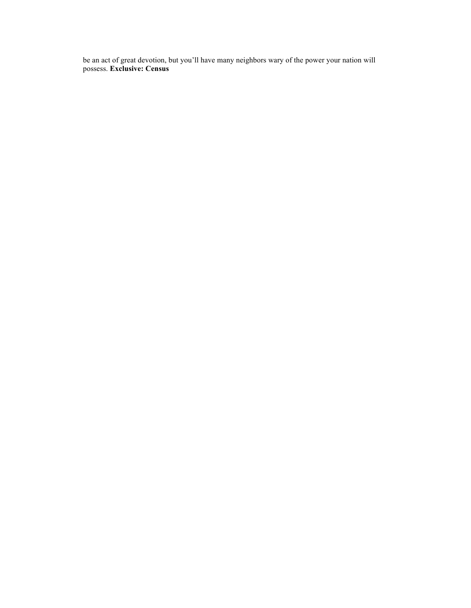be an act of great devotion, but you'll have many neighbors wary of the power your nation will possess. **Exclusive: Census**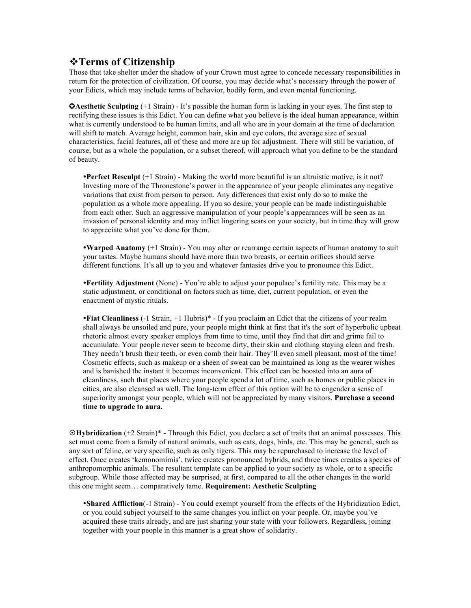## v**Terms of Citizenship**

Those that take shelter under the shadow of your Crown must agree to concede necessary responsibilities in return for the protection of civilization. Of course, you may decide what's necessary through the power of your Edicts, which may include terms of behavior, bodily form, and even mental functioning.

 $\Omega$ **Aesthetic Sculpting** (+1 Strain) - It's possible the human form is lacking in your eyes. The first step to rectifying these issues is this Edict. You can define what you believe is the ideal human appearance, within what is currently understood to be human limits, and all who are in your domain at the time of declaration will shift to match. Average height, common hair, skin and eye colors, the average size of sexual characteristics, facial features, all of these and more are up for adjustment. There will still be variation, of course, but as a whole the population, or a subset thereof, will approach what you define to be the standard of beauty.

**Perfect Resculpt** (+1 Strain) - Making the world more beautiful is an altruistic motive, is it not? Investing more of the Thronestone's power in the appearance of your people eliminates any negative variations that exist from person to person. Any differences that exist only do so to make the population as a whole more appealing. If you so desire, your people can be made indistinguishable from each other. Such an aggressive manipulation of your people's appearances will be seen as an invasion of personal identity and may inflict lingering scars on your society, but in time they will grow to appreciate what you've done for them.

**Warped Anatomy** (+1 Strain) - You may alter or rearrange certain aspects of human anatomy to suit your tastes. Maybe humans should have more than two breasts, or certain orifices should serve different functions. It's all up to you and whatever fantasies drive you to pronounce this Edict.

**Fertility Adjustment** (None) - You're able to adjust your populace's fertility rate. This may be a static adjustment, or conditional on factors such as time, diet, current population, or even the enactment of mystic rituals.

**Fiat Cleanliness** (-1 Strain, +1 Hubris)\* - If you proclaim an Edict that the citizens of your realm shall always be unsoiled and pure, your people might think at first that it's the sort of hyperbolic upbeat rhetoric almost every speaker employs from time to time, until they find that dirt and grime fail to accumulate. Your people never seem to become dirty, their skin and clothing staying clean and fresh. They needn't brush their teeth, or even comb their hair. They'll even smell pleasant, most of the time! Cosmetic effects, such as makeup or a sheen of sweat can be maintained as long as the wearer wishes and is banished the instant it becomes inconvenient. This effect can be boosted into an aura of cleanliness, such that places where your people spend a lot of time, such as homes or public places in cities, are also cleansed as well. The long-term effect of this option will be to engender a sense of superiority amongst your people, which will not be appreciated by many visitors. **Purchase a second time to upgrade to aura.**

¤**Hybridization** (+2 Strain)\* - Through this Edict, you declare a set of traits that an animal possesses. This set must come from a family of natural animals, such as cats, dogs, birds, etc. This may be general, such as any sort of feline, or very specific, such as only tigers. This may be repurchased to increase the level of effect. Once creates 'kemonomimis', twice creates pronounced hybrids, and three times creates a species of anthropomorphic animals. The resultant template can be applied to your society as whole, or to a specific subgroup. While those affected may be surprised, at first, compared to all the other changes in the world this one might seem… comparatively tame. **Requirement: Aesthetic Sculpting**

**Shared Affliction**(-1 Strain) - You could exempt yourself from the effects of the Hybridization Edict, or you could subject yourself to the same changes you inflict on your people. Or, maybe you've acquired these traits already, and are just sharing your state with your followers. Regardless, joining together with your people in this manner is a great show of solidarity.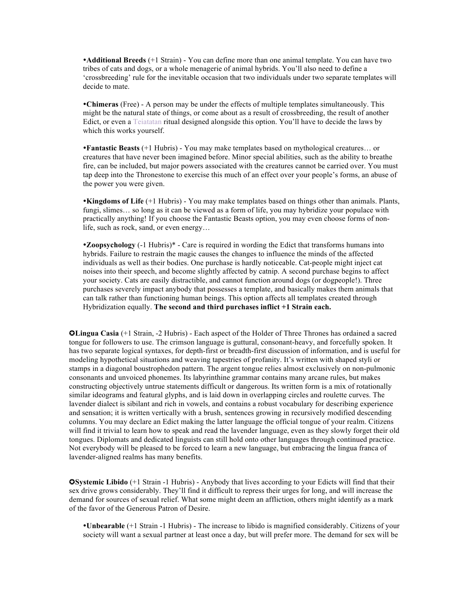**Additional Breeds** (+1 Strain) - You can define more than one animal template. You can have two tribes of cats and dogs, or a whole menagerie of animal hybrids. You'll also need to define a 'crossbreeding' rule for the inevitable occasion that two individuals under two separate templates will decide to mate.

**Chimeras** (Free) - A person may be under the effects of multiple templates simultaneously. This might be the natural state of things, or come about as a result of crossbreeding, the result of another Edict, or even a Teiatatan ritual designed alongside this option. You'll have to decide the laws by which this works yourself.

**Fantastic Beasts** (+1 Hubris) - You may make templates based on mythological creatures… or creatures that have never been imagined before. Minor special abilities, such as the ability to breathe fire, can be included, but major powers associated with the creatures cannot be carried over. You must tap deep into the Thronestone to exercise this much of an effect over your people's forms, an abuse of the power you were given.

**Kingdoms of Life** (+1 Hubris) - You may make templates based on things other than animals. Plants, fungi, slimes… so long as it can be viewed as a form of life, you may hybridize your populace with practically anything! If you choose the Fantastic Beasts option, you may even choose forms of nonlife, such as rock, sand, or even energy…

**Zoopsychology** (-1 Hubris)\* - Care is required in wording the Edict that transforms humans into hybrids. Failure to restrain the magic causes the changes to influence the minds of the affected individuals as well as their bodies. One purchase is hardly noticeable. Cat-people might inject cat noises into their speech, and become slightly affected by catnip. A second purchase begins to affect your society. Cats are easily distractible, and cannot function around dogs (or dogpeople!). Three purchases severely impact anybody that possesses a template, and basically makes them animals that can talk rather than functioning human beings. This option affects all templates created through Hybridization equally. **The second and third purchases inflict +1 Strain each.**

✪**Lingua Casia** (+1 Strain, -2 Hubris) - Each aspect of the Holder of Three Thrones has ordained a sacred tongue for followers to use. The crimson language is guttural, consonant-heavy, and forcefully spoken. It has two separate logical syntaxes, for depth-first or breadth-first discussion of information, and is useful for modeling hypothetical situations and weaving tapestries of profanity. It's written with shaped styli or stamps in a diagonal boustrophedon pattern. The argent tongue relies almost exclusively on non-pulmonic consonants and unvoiced phonemes. Its labyrinthine grammar contains many arcane rules, but makes constructing objectively untrue statements difficult or dangerous. Its written form is a mix of rotationally similar ideograms and featural glyphs, and is laid down in overlapping circles and roulette curves. The lavender dialect is sibilant and rich in vowels, and contains a robust vocabulary for describing experience and sensation; it is written vertically with a brush, sentences growing in recursively modified descending columns. You may declare an Edict making the latter language the official tongue of your realm. Citizens will find it trivial to learn how to speak and read the lavender language, even as they slowly forget their old tongues. Diplomats and dedicated linguists can still hold onto other languages through continued practice. Not everybody will be pleased to be forced to learn a new language, but embracing the lingua franca of lavender-aligned realms has many benefits.

✪**Systemic Libido** (+1 Strain -1 Hubris) - Anybody that lives according to your Edicts will find that their sex drive grows considerably. They'll find it difficult to repress their urges for long, and will increase the demand for sources of sexual relief. What some might deem an affliction, others might identify as a mark of the favor of the Generous Patron of Desire.

**Unbearable** (+1 Strain -1 Hubris) - The increase to libido is magnified considerably. Citizens of your society will want a sexual partner at least once a day, but will prefer more. The demand for sex will be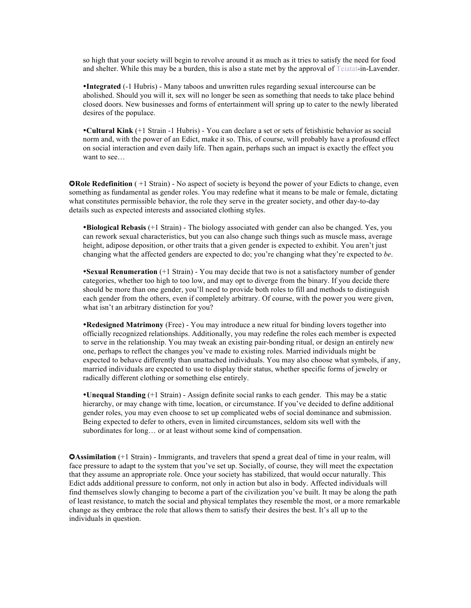so high that your society will begin to revolve around it as much as it tries to satisfy the need for food and shelter. While this may be a burden, this is also a state met by the approval of Teiatat-in-Lavender.

**Integrated** (-1 Hubris) - Many taboos and unwritten rules regarding sexual intercourse can be abolished. Should you will it, sex will no longer be seen as something that needs to take place behind closed doors. New businesses and forms of entertainment will spring up to cater to the newly liberated desires of the populace.

**Cultural Kink** (+1 Strain -1 Hubris) - You can declare a set or sets of fetishistic behavior as social norm and, with the power of an Edict, make it so. This, of course, will probably have a profound effect on social interaction and even daily life. Then again, perhaps such an impact is exactly the effect you want to see…

**QRole Redefinition**  $( +1 \text{ strain})$  - No aspect of society is beyond the power of your Edicts to change, even something as fundamental as gender roles. You may redefine what it means to be male or female, dictating what constitutes permissible behavior, the role they serve in the greater society, and other day-to-day details such as expected interests and associated clothing styles.

**Biological Rebasis** (+1 Strain) - The biology associated with gender can also be changed. Yes, you can rework sexual characteristics, but you can also change such things such as muscle mass, average height, adipose deposition, or other traits that a given gender is expected to exhibit. You aren't just changing what the affected genders are expected to do; you're changing what they're expected to *be*.

**•Sexual Renumeration** (+1 Strain) - You may decide that two is not a satisfactory number of gender categories, whether too high to too low, and may opt to diverge from the binary. If you decide there should be more than one gender, you'll need to provide both roles to fill and methods to distinguish each gender from the others, even if completely arbitrary. Of course, with the power you were given, what isn't an arbitrary distinction for you?

**Redesigned Matrimony** (Free) - You may introduce a new ritual for binding lovers together into officially recognized relationships. Additionally, you may redefine the roles each member is expected to serve in the relationship. You may tweak an existing pair-bonding ritual, or design an entirely new one, perhaps to reflect the changes you've made to existing roles. Married individuals might be expected to behave differently than unattached individuals. You may also choose what symbols, if any, married individuals are expected to use to display their status, whether specific forms of jewelry or radically different clothing or something else entirely.

**Unequal Standing** (+1 Strain) - Assign definite social ranks to each gender. This may be a static hierarchy, or may change with time, location, or circumstance. If you've decided to define additional gender roles, you may even choose to set up complicated webs of social dominance and submission. Being expected to defer to others, even in limited circumstances, seldom sits well with the subordinates for long… or at least without some kind of compensation.

**QAssimilation** (+1 Strain) - Immigrants, and travelers that spend a great deal of time in your realm, will face pressure to adapt to the system that you've set up. Socially, of course, they will meet the expectation that they assume an appropriate role. Once your society has stabilized, that would occur naturally. This Edict adds additional pressure to conform, not only in action but also in body. Affected individuals will find themselves slowly changing to become a part of the civilization you've built. It may be along the path of least resistance, to match the social and physical templates they resemble the most, or a more remarkable change as they embrace the role that allows them to satisfy their desires the best. It's all up to the individuals in question.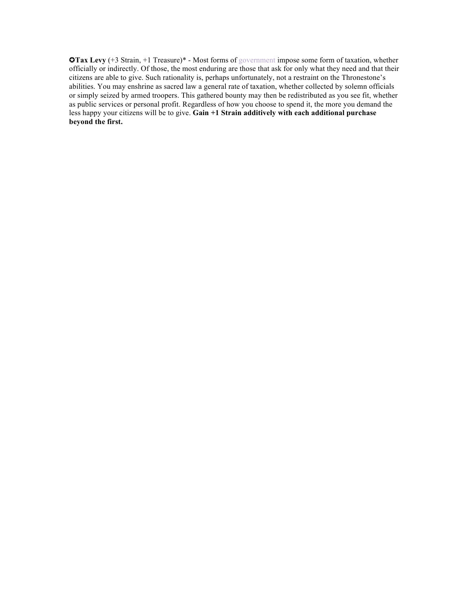✪**Tax Levy** (+3 Strain, +1 Treasure)\* - Most forms of government impose some form of taxation, whether officially or indirectly. Of those, the most enduring are those that ask for only what they need and that their citizens are able to give. Such rationality is, perhaps unfortunately, not a restraint on the Thronestone's abilities. You may enshrine as sacred law a general rate of taxation, whether collected by solemn officials or simply seized by armed troopers. This gathered bounty may then be redistributed as you see fit, whether as public services or personal profit. Regardless of how you choose to spend it, the more you demand the less happy your citizens will be to give. **Gain +1 Strain additively with each additional purchase beyond the first.**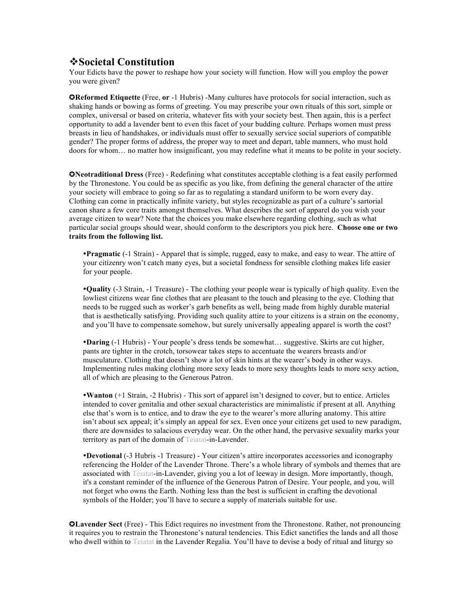## v**Societal Constitution**

Your Edicts have the power to reshape how your society will function. How will you employ the power you were given?

✪**Reformed Etiquette** (Free, **or** -1 Hubris) -Many cultures have protocols for social interaction, such as shaking hands or bowing as forms of greeting. You may prescribe your own rituals of this sort, simple or complex, universal or based on criteria, whatever fits with your society best. Then again, this is a perfect opportunity to add a lavender bent to even this facet of your budding culture. Perhaps women must press breasts in lieu of handshakes, or individuals must offer to sexually service social superiors of compatible gender? The proper forms of address, the proper way to meet and depart, table manners, who must hold doors for whom… no matter how insignificant, you may redefine what it means to be polite in your society.

✪**Neotraditional Dress** (Free) - Redefining what constitutes acceptable clothing is a feat easily performed by the Thronestone. You could be as specific as you like, from defining the general character of the attire your society will embrace to going so far as to regulating a standard uniform to be worn every day. Clothing can come in practically infinite variety, but styles recognizable as part of a culture's sartorial canon share a few core traits amongst themselves. What describes the sort of apparel do you wish your average citizen to wear? Note that the choices you make elsewhere regarding clothing, such as what particular social groups should wear, should conform to the descriptors you pick here. **Choose one or two traits from the following list.**

**Pragmatic** (-1 Strain) - Apparel that is simple, rugged, easy to make, and easy to wear. The attire of your citizenry won't catch many eyes, but a societal fondness for sensible clothing makes life easier for your people.

**Quality** (-3 Strain, -1 Treasure) - The clothing your people wear is typically of high quality. Even the lowliest citizens wear fine clothes that are pleasant to the touch and pleasing to the eye. Clothing that needs to be rugged such as worker's garb benefits as well, being made from highly durable material that is aesthetically satisfying. Providing such quality attire to your citizens is a strain on the economy, and you'll have to compensate somehow, but surely universally appealing apparel is worth the cost?

**Daring** (-1 Hubris) - Your people's dress tends be somewhat… suggestive. Skirts are cut higher, pants are tighter in the crotch, torsowear takes steps to accentuate the wearers breasts and/or musculature. Clothing that doesn't show a lot of skin hints at the wearer's body in other ways. Implementing rules making clothing more sexy leads to more sexy thoughts leads to more sexy action, all of which are pleasing to the Generous Patron.

**Wanton** (+1 Strain, -2 Hubris) - This sort of apparel isn't designed to cover, but to entice. Articles intended to cover genitalia and other sexual characteristics are minimalistic if present at all. Anything else that's worn is to entice, and to draw the eye to the wearer's more alluring anatomy. This attire isn't about sex appeal; it's simply an appeal for sex. Even once your citizens get used to new paradigm, there are downsides to salacious everyday wear. On the other hand, the pervasive sexuality marks your territory as part of the domain of Teiatat-in-Lavender.

**Devotional** (-3 Hubris -1 Treasure) - Your citizen's attire incorporates accessories and iconography referencing the Holder of the Lavender Throne. There's a whole library of symbols and themes that are associated with Teiatat-in-Lavender, giving you a lot of leeway in design. More importantly, though, it's a constant reminder of the influence of the Generous Patron of Desire. Your people, and you, will not forget who owns the Earth. Nothing less than the best is sufficient in crafting the devotional symbols of the Holder; you'll have to secure a supply of materials suitable for use.

✪**Lavender Sect** (Free) - This Edict requires no investment from the Thronestone. Rather, not pronouncing it requires you to restrain the Thronestone's natural tendencies. This Edict sanctifies the lands and all those who dwell within to Teiatat in the Lavender Regalia. You'll have to devise a body of ritual and liturgy so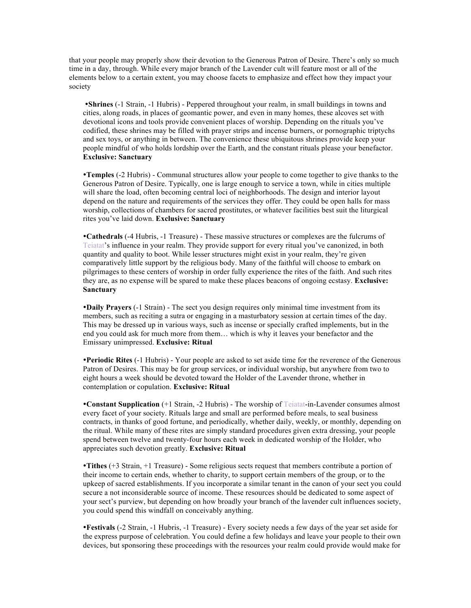that your people may properly show their devotion to the Generous Patron of Desire. There's only so much time in a day, through. While every major branch of the Lavender cult will feature most or all of the elements below to a certain extent, you may choose facets to emphasize and effect how they impact your society

**Shrines** (-1 Strain, -1 Hubris) - Peppered throughout your realm, in small buildings in towns and cities, along roads, in places of geomantic power, and even in many homes, these alcoves set with devotional icons and tools provide convenient places of worship. Depending on the rituals you've codified, these shrines may be filled with prayer strips and incense burners, or pornographic triptychs and sex toys, or anything in between. The convenience these ubiquitous shrines provide keep your people mindful of who holds lordship over the Earth, and the constant rituals please your benefactor. **Exclusive: Sanctuary** 

**Temples** (-2 Hubris) - Communal structures allow your people to come together to give thanks to the Generous Patron of Desire. Typically, one is large enough to service a town, while in cities multiple will share the load, often becoming central loci of neighborhoods. The design and interior layout depend on the nature and requirements of the services they offer. They could be open halls for mass worship, collections of chambers for sacred prostitutes, or whatever facilities best suit the liturgical rites you've laid down. **Exclusive: Sanctuary**

**Cathedrals** (-4 Hubris, -1 Treasure) - These massive structures or complexes are the fulcrums of Teiatat's influence in your realm. They provide support for every ritual you've canonized, in both quantity and quality to boot. While lesser structures might exist in your realm, they're given comparatively little support by the religious body. Many of the faithful will choose to embark on pilgrimages to these centers of worship in order fully experience the rites of the faith. And such rites they are, as no expense will be spared to make these places beacons of ongoing ecstasy. **Exclusive: Sanctuary**

**Daily Prayers** (-1 Strain) - The sect you design requires only minimal time investment from its members, such as reciting a sutra or engaging in a masturbatory session at certain times of the day. This may be dressed up in various ways, such as incense or specially crafted implements, but in the end you could ask for much more from them… which is why it leaves your benefactor and the Emissary unimpressed. **Exclusive: Ritual**

**Periodic Rites** (-1 Hubris) - Your people are asked to set aside time for the reverence of the Generous Patron of Desires. This may be for group services, or individual worship, but anywhere from two to eight hours a week should be devoted toward the Holder of the Lavender throne, whether in contemplation or copulation. **Exclusive: Ritual**

**Constant Supplication** (+1 Strain, -2 Hubris) - The worship of Teiatat-in-Lavender consumes almost every facet of your society. Rituals large and small are performed before meals, to seal business contracts, in thanks of good fortune, and periodically, whether daily, weekly, or monthly, depending on the ritual. While many of these rites are simply standard procedures given extra dressing, your people spend between twelve and twenty-four hours each week in dedicated worship of the Holder, who appreciates such devotion greatly. **Exclusive: Ritual**

**Tithes** (+3 Strain, +1 Treasure) - Some religious sects request that members contribute a portion of their income to certain ends, whether to charity, to support certain members of the group, or to the upkeep of sacred establishments. If you incorporate a similar tenant in the canon of your sect you could secure a not inconsiderable source of income. These resources should be dedicated to some aspect of your sect's purview, but depending on how broadly your branch of the lavender cult influences society, you could spend this windfall on conceivably anything.

**Festivals** (-2 Strain, -1 Hubris, -1 Treasure) - Every society needs a few days of the year set aside for the express purpose of celebration. You could define a few holidays and leave your people to their own devices, but sponsoring these proceedings with the resources your realm could provide would make for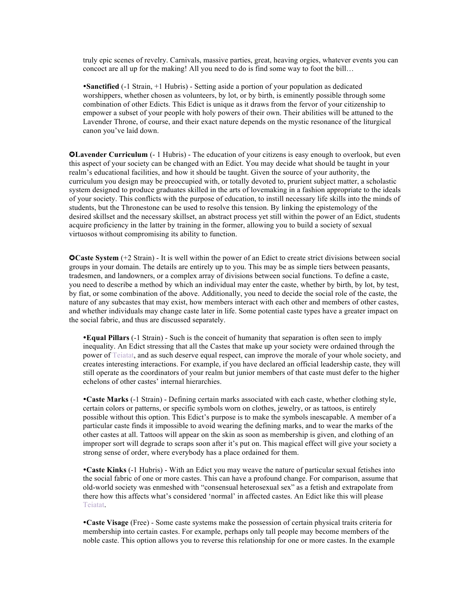truly epic scenes of revelry. Carnivals, massive parties, great, heaving orgies, whatever events you can concoct are all up for the making! All you need to do is find some way to foot the bill…

**Sanctified** (-1 Strain, +1 Hubris) - Setting aside a portion of your population as dedicated worshippers, whether chosen as volunteers, by lot, or by birth, is eminently possible through some combination of other Edicts. This Edict is unique as it draws from the fervor of your citizenship to empower a subset of your people with holy powers of their own. Their abilities will be attuned to the Lavender Throne, of course, and their exact nature depends on the mystic resonance of the liturgical canon you've laid down.

✪**Lavender Curriculum** (- 1 Hubris) - The education of your citizens is easy enough to overlook, but even this aspect of your society can be changed with an Edict. You may decide what should be taught in your realm's educational facilities, and how it should be taught. Given the source of your authority, the curriculum you design may be preoccupied with, or totally devoted to, prurient subject matter, a scholastic system designed to produce graduates skilled in the arts of lovemaking in a fashion appropriate to the ideals of your society. This conflicts with the purpose of education, to instill necessary life skills into the minds of students, but the Thronestone can be used to resolve this tension. By linking the epistemology of the desired skillset and the necessary skillset, an abstract process yet still within the power of an Edict, students acquire proficiency in the latter by training in the former, allowing you to build a society of sexual virtuosos without compromising its ability to function.

**Caste System** (+2 Strain) - It is well within the power of an Edict to create strict divisions between social groups in your domain. The details are entirely up to you. This may be as simple tiers between peasants, tradesmen, and landowners, or a complex array of divisions between social functions. To define a caste, you need to describe a method by which an individual may enter the caste, whether by birth, by lot, by test, by fiat, or some combination of the above. Additionally, you need to decide the social role of the caste, the nature of any subcastes that may exist, how members interact with each other and members of other castes, and whether individuals may change caste later in life. Some potential caste types have a greater impact on the social fabric, and thus are discussed separately.

**Equal Pillars** (-1 Strain) - Such is the conceit of humanity that separation is often seen to imply inequality. An Edict stressing that all the Castes that make up your society were ordained through the power of Teiatat, and as such deserve equal respect, can improve the morale of your whole society, and creates interesting interactions. For example, if you have declared an official leadership caste, they will still operate as the coordinators of your realm but junior members of that caste must defer to the higher echelons of other castes' internal hierarchies.

**Caste Marks** (-1 Strain) - Defining certain marks associated with each caste, whether clothing style, certain colors or patterns, or specific symbols worn on clothes, jewelry, or as tattoos, is entirely possible without this option. This Edict's purpose is to make the symbols inescapable. A member of a particular caste finds it impossible to avoid wearing the defining marks, and to wear the marks of the other castes at all. Tattoos will appear on the skin as soon as membership is given, and clothing of an improper sort will degrade to scraps soon after it's put on. This magical effect will give your society a strong sense of order, where everybody has a place ordained for them.

**Caste Kinks** (-1 Hubris) - With an Edict you may weave the nature of particular sexual fetishes into the social fabric of one or more castes. This can have a profound change. For comparison, assume that old-world society was enmeshed with "consensual heterosexual sex" as a fetish and extrapolate from there how this affects what's considered 'normal' in affected castes. An Edict like this will please **Teiatat** 

**Caste Visage** (Free) - Some caste systems make the possession of certain physical traits criteria for membership into certain castes. For example, perhaps only tall people may become members of the noble caste. This option allows you to reverse this relationship for one or more castes. In the example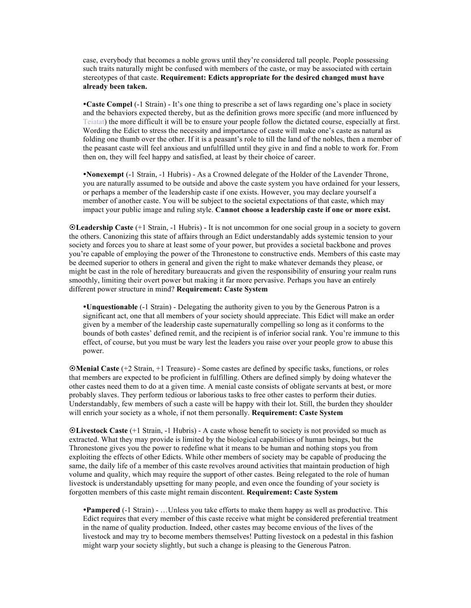case, everybody that becomes a noble grows until they're considered tall people. People possessing such traits naturally might be confused with members of the caste, or may be associated with certain stereotypes of that caste. **Requirement: Edicts appropriate for the desired changed must have already been taken.**

**Caste Compel** (-1 Strain) - It's one thing to prescribe a set of laws regarding one's place in society and the behaviors expected thereby, but as the definition grows more specific (and more influenced by Teiatat) the more difficult it will be to ensure your people follow the dictated course, especially at first. Wording the Edict to stress the necessity and importance of caste will make one's caste as natural as folding one thumb over the other. If it is a peasant's role to till the land of the nobles, then a member of the peasant caste will feel anxious and unfulfilled until they give in and find a noble to work for. From then on, they will feel happy and satisfied, at least by their choice of career.

**Nonexempt** (-1 Strain, -1 Hubris) - As a Crowned delegate of the Holder of the Lavender Throne, you are naturally assumed to be outside and above the caste system you have ordained for your lessers, or perhaps a member of the leadership caste if one exists. However, you may declare yourself a member of another caste. You will be subject to the societal expectations of that caste, which may impact your public image and ruling style. **Cannot choose a leadership caste if one or more exist.**

¤**Leadership Caste** (+1 Strain, -1 Hubris) - It is not uncommon for one social group in a society to govern the others. Canonizing this state of affairs through an Edict understandably adds systemic tension to your society and forces you to share at least some of your power, but provides a societal backbone and proves you're capable of employing the power of the Thronestone to constructive ends. Members of this caste may be deemed superior to others in general and given the right to make whatever demands they please, or might be cast in the role of hereditary bureaucrats and given the responsibility of ensuring your realm runs smoothly, limiting their overt power but making it far more pervasive. Perhaps you have an entirely different power structure in mind? **Requirement: Caste System**

**Unquestionable** (-1 Strain) - Delegating the authority given to you by the Generous Patron is a significant act, one that all members of your society should appreciate. This Edict will make an order given by a member of the leadership caste supernaturally compelling so long as it conforms to the bounds of both castes' defined remit, and the recipient is of inferior social rank. You're immune to this effect, of course, but you must be wary lest the leaders you raise over your people grow to abuse this power.

¤**Menial Caste** (+2 Strain, +1 Treasure) - Some castes are defined by specific tasks, functions, or roles that members are expected to be proficient in fulfilling. Others are defined simply by doing whatever the other castes need them to do at a given time. A menial caste consists of obligate servants at best, or more probably slaves. They perform tedious or laborious tasks to free other castes to perform their duties. Understandably, few members of such a caste will be happy with their lot. Still, the burden they shoulder will enrich your society as a whole, if not them personally. **Requirement: Caste System**

¤**Livestock Caste** (+1 Strain, -1 Hubris) - A caste whose benefit to society is not provided so much as extracted. What they may provide is limited by the biological capabilities of human beings, but the Thronestone gives you the power to redefine what it means to be human and nothing stops you from exploiting the effects of other Edicts. While other members of society may be capable of producing the same, the daily life of a member of this caste revolves around activities that maintain production of high volume and quality, which may require the support of other castes. Being relegated to the role of human livestock is understandably upsetting for many people, and even once the founding of your society is forgotten members of this caste might remain discontent. **Requirement: Caste System**

**Pampered** (-1 Strain) - …Unless you take efforts to make them happy as well as productive. This Edict requires that every member of this caste receive what might be considered preferential treatment in the name of quality production. Indeed, other castes may become envious of the lives of the livestock and may try to become members themselves! Putting livestock on a pedestal in this fashion might warp your society slightly, but such a change is pleasing to the Generous Patron.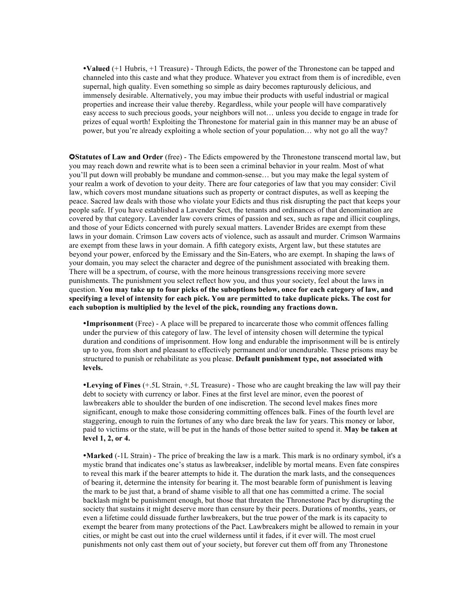**Valued** (+1 Hubris, +1 Treasure) - Through Edicts, the power of the Thronestone can be tapped and channeled into this caste and what they produce. Whatever you extract from them is of incredible, even supernal, high quality. Even something so simple as dairy becomes rapturously delicious, and immensely desirable. Alternatively, you may imbue their products with useful industrial or magical properties and increase their value thereby. Regardless, while your people will have comparatively easy access to such precious goods, your neighbors will not… unless you decide to engage in trade for prizes of equal worth! Exploiting the Thronestone for material gain in this manner may be an abuse of power, but you're already exploiting a whole section of your population… why not go all the way?

✪**Statutes of Law and Order** (free) - The Edicts empowered by the Thronestone transcend mortal law, but you may reach down and rewrite what is to been seen a criminal behavior in your realm. Most of what you'll put down will probably be mundane and common-sense… but you may make the legal system of your realm a work of devotion to your deity. There are four categories of law that you may consider: Civil law, which covers most mundane situations such as property or contract disputes, as well as keeping the peace. Sacred law deals with those who violate your Edicts and thus risk disrupting the pact that keeps your people safe. If you have established a Lavender Sect, the tenants and ordinances of that denomination are covered by that category. Lavender law covers crimes of passion and sex, such as rape and illicit couplings, and those of your Edicts concerned with purely sexual matters. Lavender Brides are exempt from these laws in your domain. Crimson Law covers acts of violence, such as assault and murder. Crimson Warmains are exempt from these laws in your domain. A fifth category exists, Argent law, but these statutes are beyond your power, enforced by the Emissary and the Sin-Eaters, who are exempt. In shaping the laws of your domain, you may select the character and degree of the punishment associated with breaking them. There will be a spectrum, of course, with the more heinous transgressions receiving more severe punishments. The punishment you select reflect how you, and thus your society, feel about the laws in question. **You may take up to four picks of the suboptions below, once for each category of law, and specifying a level of intensity for each pick. You are permitted to take duplicate picks. The cost for each suboption is multiplied by the level of the pick, rounding any fractions down.**

**Imprisonment** (Free) - A place will be prepared to incarcerate those who commit offences falling under the purview of this category of law. The level of intensity chosen will determine the typical duration and conditions of imprisonment. How long and endurable the imprisonment will be is entirely up to you, from short and pleasant to effectively permanent and/or unendurable. These prisons may be structured to punish or rehabilitate as you please. **Default punishment type, not associated with levels.**

**Levying of Fines** (+.5L Strain, +.5L Treasure) - Those who are caught breaking the law will pay their debt to society with currency or labor. Fines at the first level are minor, even the poorest of lawbreakers able to shoulder the burden of one indiscretion. The second level makes fines more significant, enough to make those considering committing offences balk. Fines of the fourth level are staggering, enough to ruin the fortunes of any who dare break the law for years. This money or labor, paid to victims or the state, will be put in the hands of those better suited to spend it. **May be taken at level 1, 2, or 4.**

**Marked** (-1L Strain) - The price of breaking the law is a mark. This mark is no ordinary symbol, it's a mystic brand that indicates one's status as lawbreakser, indelible by mortal means. Even fate conspires to reveal this mark if the bearer attempts to hide it. The duration the mark lasts, and the consequences of bearing it, determine the intensity for bearing it. The most bearable form of punishment is leaving the mark to be just that, a brand of shame visible to all that one has committed a crime. The social backlash might be punishment enough, but those that threaten the Thronestone Pact by disrupting the society that sustains it might deserve more than censure by their peers. Durations of months, years, or even a lifetime could dissuade further lawbreakers, but the true power of the mark is its capacity to exempt the bearer from many protections of the Pact. Lawbreakers might be allowed to remain in your cities, or might be cast out into the cruel wilderness until it fades, if it ever will. The most cruel punishments not only cast them out of your society, but forever cut them off from any Thronestone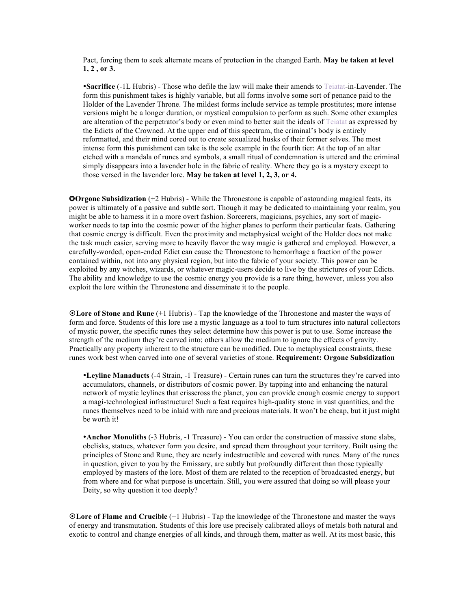Pact, forcing them to seek alternate means of protection in the changed Earth. **May be taken at level 1, 2 , or 3.** 

**Sacrifice** (-1L Hubris) - Those who defile the law will make their amends to Teiatat-in-Lavender. The form this punishment takes is highly variable, but all forms involve some sort of penance paid to the Holder of the Lavender Throne. The mildest forms include service as temple prostitutes; more intense versions might be a longer duration, or mystical compulsion to perform as such. Some other examples are alteration of the perpetrator's body or even mind to better suit the ideals of Teiatat as expressed by the Edicts of the Crowned. At the upper end of this spectrum, the criminal's body is entirely reformatted, and their mind cored out to create sexualized husks of their former selves. The most intense form this punishment can take is the sole example in the fourth tier: At the top of an altar etched with a mandala of runes and symbols, a small ritual of condemnation is uttered and the criminal simply disappears into a lavender hole in the fabric of reality. Where they go is a mystery except to those versed in the lavender lore. **May be taken at level 1, 2, 3, or 4.**

**OOrgone Subsidization** (+2 Hubris) - While the Thronestone is capable of astounding magical feats, its power is ultimately of a passive and subtle sort. Though it may be dedicated to maintaining your realm, you might be able to harness it in a more overt fashion. Sorcerers, magicians, psychics, any sort of magicworker needs to tap into the cosmic power of the higher planes to perform their particular feats. Gathering that cosmic energy is difficult. Even the proximity and metaphysical weight of the Holder does not make the task much easier, serving more to heavily flavor the way magic is gathered and employed. However, a carefully-worded, open-ended Edict can cause the Thronestone to hemorrhage a fraction of the power contained within, not into any physical region, but into the fabric of your society. This power can be exploited by any witches, wizards, or whatever magic-users decide to live by the strictures of your Edicts. The ability and knowledge to use the cosmic energy you provide is a rare thing, however, unless you also exploit the lore within the Thronestone and disseminate it to the people.

¤**Lore of Stone and Rune** (+1 Hubris) - Tap the knowledge of the Thronestone and master the ways of form and force. Students of this lore use a mystic language as a tool to turn structures into natural collectors of mystic power, the specific runes they select determine how this power is put to use. Some increase the strength of the medium they're carved into; others allow the medium to ignore the effects of gravity. Practically any property inherent to the structure can be modified. Due to metaphysical constraints, these runes work best when carved into one of several varieties of stone. **Requirement: Orgone Subsidization**

**Leyline Manaducts** (-4 Strain, -1 Treasure) - Certain runes can turn the structures they're carved into accumulators, channels, or distributors of cosmic power. By tapping into and enhancing the natural network of mystic leylines that crisscross the planet, you can provide enough cosmic energy to support a magi-technological infrastructure! Such a feat requires high-quality stone in vast quantities, and the runes themselves need to be inlaid with rare and precious materials. It won't be cheap, but it just might be worth it!

**Anchor Monoliths** (-3 Hubris, -1 Treasure) - You can order the construction of massive stone slabs, obelisks, statues, whatever form you desire, and spread them throughout your territory. Built using the principles of Stone and Rune, they are nearly indestructible and covered with runes. Many of the runes in question, given to you by the Emissary, are subtly but profoundly different than those typically employed by masters of the lore. Most of them are related to the reception of broadcasted energy, but from where and for what purpose is uncertain. Still, you were assured that doing so will please your Deity, so why question it too deeply?

¤**Lore of Flame and Crucible** (+1 Hubris) - Tap the knowledge of the Thronestone and master the ways of energy and transmutation. Students of this lore use precisely calibrated alloys of metals both natural and exotic to control and change energies of all kinds, and through them, matter as well. At its most basic, this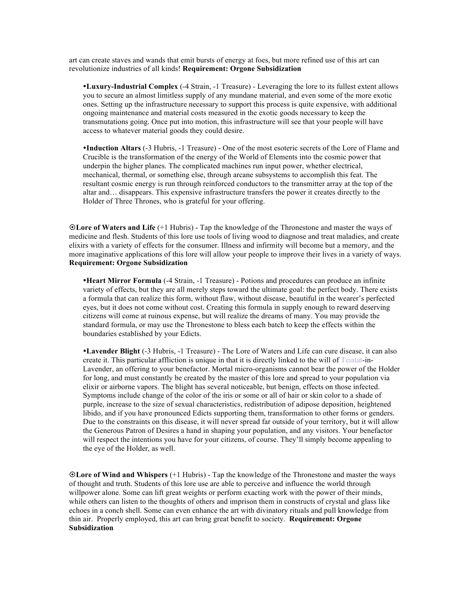art can create staves and wands that emit bursts of energy at foes, but more refined use of this art can revolutionize industries of all kinds! **Requirement: Orgone Subsidization**

**Luxury-Industrial Complex** (-4 Strain, -1 Treasure) - Leveraging the lore to its fullest extent allows you to secure an almost limitless supply of any mundane material, and even some of the more exotic ones. Setting up the infrastructure necessary to support this process is quite expensive, with additional ongoing maintenance and material costs measured in the exotic goods necessary to keep the transmutations going. Once put into motion, this infrastructure will see that your people will have access to whatever material goods they could desire.

**Induction Altars** (-3 Hubris, -1 Treasure) - One of the most esoteric secrets of the Lore of Flame and Crucible is the transformation of the energy of the World of Elements into the cosmic power that underpin the higher planes. The complicated machines run input power, whether electrical, mechanical, thermal, or something else, through arcane subsystems to accomplish this feat. The resultant cosmic energy is run through reinforced conductors to the transmitter array at the top of the altar and… disappears. This expensive infrastructure transfers the power it creates directly to the Holder of Three Thrones, who is grateful for your offering.

¤**Lore of Waters and Life** (+1 Hubris) - Tap the knowledge of the Thronestone and master the ways of medicine and flesh. Students of this lore use tools of living wood to diagnose and treat maladies, and create elixirs with a variety of effects for the consumer. Illness and infirmity will become but a memory, and the more imaginative applications of this lore will allow your people to improve their lives in a variety of ways. **Requirement: Orgone Subsidization**

**Heart Mirror Formula** (-4 Strain, -1 Treasure) - Potions and procedures can produce an infinite variety of effects, but they are all merely steps toward the ultimate goal: the perfect body. There exists a formula that can realize this form, without flaw, without disease, beautiful in the wearer's perfected eyes, but it does not come without cost. Creating this formula in supply enough to reward deserving citizens will come at ruinous expense, but will realize the dreams of many. You may provide the standard formula, or may use the Thronestone to bless each batch to keep the effects within the boundaries established by your Edicts.

**Lavender Blight** (-3 Hubris, -1 Treasure) - The Lore of Waters and Life can cure disease, it can also create it. This particular affliction is unique in that it is directly linked to the will of Teiatat-in-Lavender, an offering to your benefactor. Mortal micro-organisms cannot bear the power of the Holder for long, and must constantly be created by the master of this lore and spread to your population via elixir or airborne vapors. The blight has several noticeable, but benign, effects on those infected. Symptoms include change of the color of the iris or some or all of hair or skin color to a shade of purple, increase to the size of sexual characteristics, redistribution of adipose deposition, heightened libido, and if you have pronounced Edicts supporting them, transformation to other forms or genders. Due to the constraints on this disease, it will never spread far outside of your territory, but it will allow the Generous Patron of Desires a hand in shaping your population, and any visitors. Your benefactor will respect the intentions you have for your citizens, of course. They'll simply become appealing to the eye of the Holder, as well.

¤**Lore of Wind and Whispers** (+1 Hubris) - Tap the knowledge of the Thronestone and master the ways of thought and truth. Students of this lore use are able to perceive and influence the world through willpower alone. Some can lift great weights or perform exacting work with the power of their minds, while others can listen to the thoughts of others and imprison them in constructs of crystal and glass like echoes in a conch shell. Some can even enhance the art with divinatory rituals and pull knowledge from thin air. Properly employed, this art can bring great benefit to society. **Requirement: Orgone Subsidization**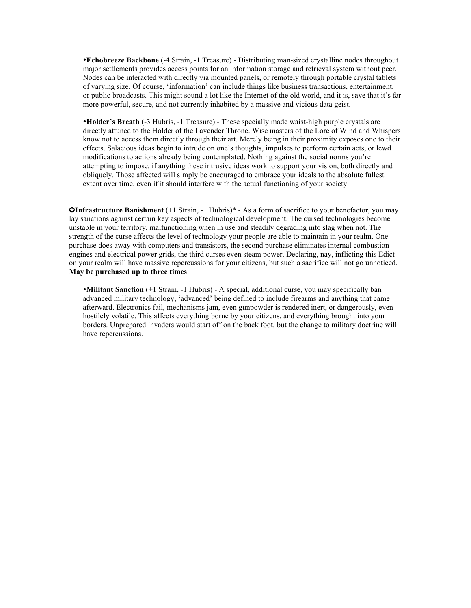**Echobreeze Backbone** (-4 Strain, -1 Treasure) - Distributing man-sized crystalline nodes throughout major settlements provides access points for an information storage and retrieval system without peer. Nodes can be interacted with directly via mounted panels, or remotely through portable crystal tablets of varying size. Of course, 'information' can include things like business transactions, entertainment, or public broadcasts. This might sound a lot like the Internet of the old world, and it is, save that it's far more powerful, secure, and not currently inhabited by a massive and vicious data geist.

**Holder's Breath** (-3 Hubris, -1 Treasure) - These specially made waist-high purple crystals are directly attuned to the Holder of the Lavender Throne. Wise masters of the Lore of Wind and Whispers know not to access them directly through their art. Merely being in their proximity exposes one to their effects. Salacious ideas begin to intrude on one's thoughts, impulses to perform certain acts, or lewd modifications to actions already being contemplated. Nothing against the social norms you're attempting to impose, if anything these intrusive ideas work to support your vision, both directly and obliquely. Those affected will simply be encouraged to embrace your ideals to the absolute fullest extent over time, even if it should interfere with the actual functioning of your society.

**OInfrastructure Banishment** (+1 Strain, -1 Hubris)\* - As a form of sacrifice to your benefactor, you may lay sanctions against certain key aspects of technological development. The cursed technologies become unstable in your territory, malfunctioning when in use and steadily degrading into slag when not. The strength of the curse affects the level of technology your people are able to maintain in your realm. One purchase does away with computers and transistors, the second purchase eliminates internal combustion engines and electrical power grids, the third curses even steam power. Declaring, nay, inflicting this Edict on your realm will have massive repercussions for your citizens, but such a sacrifice will not go unnoticed. **May be purchased up to three times**

**Militant Sanction** (+1 Strain, -1 Hubris) - A special, additional curse, you may specifically ban advanced military technology, 'advanced' being defined to include firearms and anything that came afterward. Electronics fail, mechanisms jam, even gunpowder is rendered inert, or dangerously, even hostilely volatile. This affects everything borne by your citizens, and everything brought into your borders. Unprepared invaders would start off on the back foot, but the change to military doctrine will have repercussions.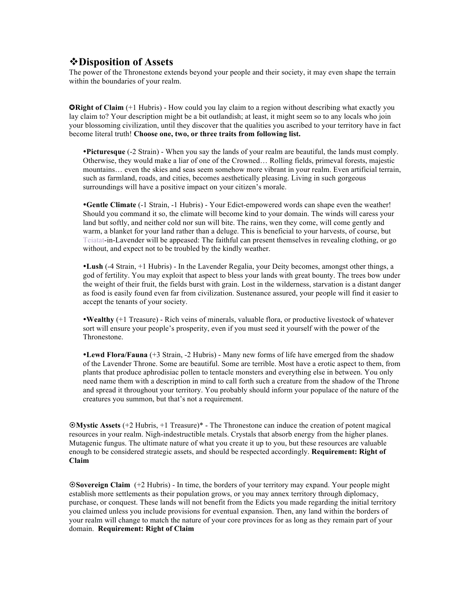#### v**Disposition of Assets**

The power of the Thronestone extends beyond your people and their society, it may even shape the terrain within the boundaries of your realm.

**ORight of Claim** (+1 Hubris) - How could you lay claim to a region without describing what exactly you lay claim to? Your description might be a bit outlandish; at least, it might seem so to any locals who join your blossoming civilization, until they discover that the qualities you ascribed to your territory have in fact become literal truth! **Choose one, two, or three traits from following list.**

**Picturesque** (-2 Strain) - When you say the lands of your realm are beautiful, the lands must comply. Otherwise, they would make a liar of one of the Crowned… Rolling fields, primeval forests, majestic mountains… even the skies and seas seem somehow more vibrant in your realm. Even artificial terrain, such as farmland, roads, and cities, becomes aesthetically pleasing. Living in such gorgeous surroundings will have a positive impact on your citizen's morale.

**Gentle Climate** (-1 Strain, -1 Hubris) - Your Edict-empowered words can shape even the weather! Should you command it so, the climate will become kind to your domain. The winds will caress your land but softly, and neither cold nor sun will bite. The rains, wen they come, will come gently and warm, a blanket for your land rather than a deluge. This is beneficial to your harvests, of course, but Teiatat-in-Lavender will be appeased: The faithful can present themselves in revealing clothing, or go without, and expect not to be troubled by the kindly weather.

**Lush** (-4 Strain, +1 Hubris) - In the Lavender Regalia, your Deity becomes, amongst other things, a god of fertility. You may exploit that aspect to bless your lands with great bounty. The trees bow under the weight of their fruit, the fields burst with grain. Lost in the wilderness, starvation is a distant danger as food is easily found even far from civilization. Sustenance assured, your people will find it easier to accept the tenants of your society.

**Wealthy** (+1 Treasure) - Rich veins of minerals, valuable flora, or productive livestock of whatever sort will ensure your people's prosperity, even if you must seed it yourself with the power of the **Thronestone** 

**Lewd Flora/Fauna** (+3 Strain, -2 Hubris) - Many new forms of life have emerged from the shadow of the Lavender Throne. Some are beautiful. Some are terrible. Most have a erotic aspect to them, from plants that produce aphrodisiac pollen to tentacle monsters and everything else in between. You only need name them with a description in mind to call forth such a creature from the shadow of the Throne and spread it throughout your territory. You probably should inform your populace of the nature of the creatures you summon, but that's not a requirement.

¤**Mystic Assets** (+2 Hubris, +1 Treasure)\* - The Thronestone can induce the creation of potent magical resources in your realm. Nigh-indestructible metals. Crystals that absorb energy from the higher planes. Mutagenic fungus. The ultimate nature of what you create it up to you, but these resources are valuable enough to be considered strategic assets, and should be respected accordingly. **Requirement: Right of Claim**

¤**Sovereign Claim** (+2 Hubris) - In time, the borders of your territory may expand. Your people might establish more settlements as their population grows, or you may annex territory through diplomacy, purchase, or conquest. These lands will not benefit from the Edicts you made regarding the initial territory you claimed unless you include provisions for eventual expansion. Then, any land within the borders of your realm will change to match the nature of your core provinces for as long as they remain part of your domain. **Requirement: Right of Claim**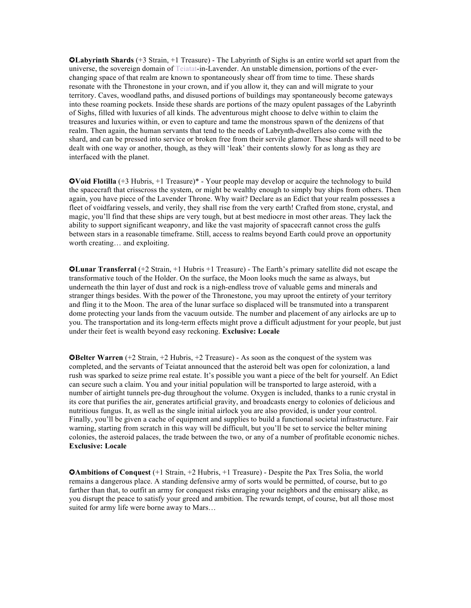✪**Labyrinth Shards** (+3 Strain, +1 Treasure) - The Labyrinth of Sighs is an entire world set apart from the universe, the sovereign domain of Teiatat-in-Lavender. An unstable dimension, portions of the everchanging space of that realm are known to spontaneously shear off from time to time. These shards resonate with the Thronestone in your crown, and if you allow it, they can and will migrate to your territory. Caves, woodland paths, and disused portions of buildings may spontaneously become gateways into these roaming pockets. Inside these shards are portions of the mazy opulent passages of the Labyrinth of Sighs, filled with luxuries of all kinds. The adventurous might choose to delve within to claim the treasures and luxuries within, or even to capture and tame the monstrous spawn of the denizens of that realm. Then again, the human servants that tend to the needs of Labrynth-dwellers also come with the shard, and can be pressed into service or broken free from their servile glamor. These shards will need to be dealt with one way or another, though, as they will 'leak' their contents slowly for as long as they are interfaced with the planet.

✪**Void Flotilla** (+3 Hubris, +1 Treasure)\* - Your people may develop or acquire the technology to build the spacecraft that crisscross the system, or might be wealthy enough to simply buy ships from others. Then again, you have piece of the Lavender Throne. Why wait? Declare as an Edict that your realm possesses a fleet of voidfaring vessels, and verily, they shall rise from the very earth! Crafted from stone, crystal, and magic, you'll find that these ships are very tough, but at best mediocre in most other areas. They lack the ability to support significant weaponry, and like the vast majority of spacecraft cannot cross the gulfs between stars in a reasonable timeframe. Still, access to realms beyond Earth could prove an opportunity worth creating… and exploiting.

✪**Lunar Transferral** (+2 Strain, +1 Hubris +1 Treasure) - The Earth's primary satellite did not escape the transformative touch of the Holder. On the surface, the Moon looks much the same as always, but underneath the thin layer of dust and rock is a nigh-endless trove of valuable gems and minerals and stranger things besides. With the power of the Thronestone, you may uproot the entirety of your territory and fling it to the Moon. The area of the lunar surface so displaced will be transmuted into a transparent dome protecting your lands from the vacuum outside. The number and placement of any airlocks are up to you. The transportation and its long-term effects might prove a difficult adjustment for your people, but just under their feet is wealth beyond easy reckoning. **Exclusive: Locale**

✪**Belter Warren** (+2 Strain, +2 Hubris, +2 Treasure) - As soon as the conquest of the system was completed, and the servants of Teiatat announced that the asteroid belt was open for colonization, a land rush was sparked to seize prime real estate. It's possible you want a piece of the belt for yourself. An Edict can secure such a claim. You and your initial population will be transported to large asteroid, with a number of airtight tunnels pre-dug throughout the volume. Oxygen is included, thanks to a runic crystal in its core that purifies the air, generates artificial gravity, and broadcasts energy to colonies of delicious and nutritious fungus. It, as well as the single initial airlock you are also provided, is under your control. Finally, you'll be given a cache of equipment and supplies to build a functional societal infrastructure. Fair warning, starting from scratch in this way will be difficult, but you'll be set to service the belter mining colonies, the asteroid palaces, the trade between the two, or any of a number of profitable economic niches. **Exclusive: Locale**

**OAmbitions of Conquest** (+1 Strain, +2 Hubris, +1 Treasure) - Despite the Pax Tres Solia, the world remains a dangerous place. A standing defensive army of sorts would be permitted, of course, but to go farther than that, to outfit an army for conquest risks enraging your neighbors and the emissary alike, as you disrupt the peace to satisfy your greed and ambition. The rewards tempt, of course, but all those most suited for army life were borne away to Mars...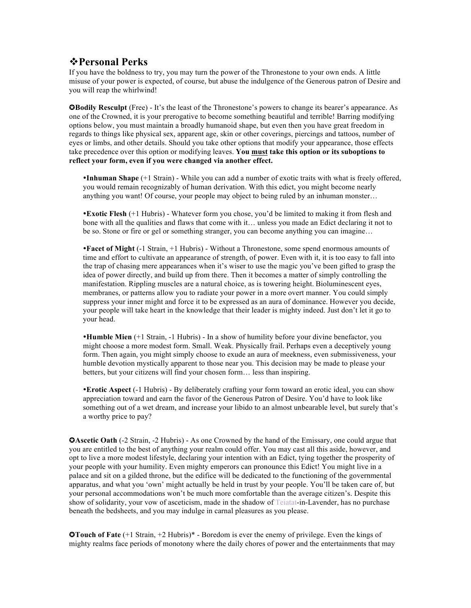## v**Personal Perks**

If you have the boldness to try, you may turn the power of the Thronestone to your own ends. A little misuse of your power is expected, of course, but abuse the indulgence of the Generous patron of Desire and you will reap the whirlwind!

✪**Bodily Resculpt** (Free) - It's the least of the Thronestone's powers to change its bearer's appearance. As one of the Crowned, it is your prerogative to become something beautiful and terrible! Barring modifying options below, you must maintain a broadly humanoid shape, but even then you have great freedom in regards to things like physical sex, apparent age, skin or other coverings, piercings and tattoos, number of eyes or limbs, and other details. Should you take other options that modify your appearance, those effects take precedence over this option or modifying leaves. **You must take this option or its suboptions to reflect your form, even if you were changed via another effect.**

**Inhuman Shape** (+1 Strain) - While you can add a number of exotic traits with what is freely offered, you would remain recognizably of human derivation. With this edict, you might become nearly anything you want! Of course, your people may object to being ruled by an inhuman monster…

**Exotic Flesh** (+1 Hubris) - Whatever form you chose, you'd be limited to making it from flesh and bone with all the qualities and flaws that come with it… unless you made an Edict declaring it not to be so. Stone or fire or gel or something stranger, you can become anything you can imagine…

**Facet of Might** (-1 Strain, +1 Hubris) - Without a Thronestone, some spend enormous amounts of time and effort to cultivate an appearance of strength, of power. Even with it, it is too easy to fall into the trap of chasing mere appearances when it's wiser to use the magic you've been gifted to grasp the idea of power directly, and build up from there. Then it becomes a matter of simply controlling the manifestation. Rippling muscles are a natural choice, as is towering height. Bioluminescent eyes, membranes, or patterns allow you to radiate your power in a more overt manner. You could simply suppress your inner might and force it to be expressed as an aura of dominance. However you decide, your people will take heart in the knowledge that their leader is mighty indeed. Just don't let it go to your head.

**Humble Mien** (+1 Strain, -1 Hubris) - In a show of humility before your divine benefactor, you might choose a more modest form. Small. Weak. Physically frail. Perhaps even a deceptively young form. Then again, you might simply choose to exude an aura of meekness, even submissiveness, your humble devotion mystically apparent to those near you. This decision may be made to please your betters, but your citizens will find your chosen form… less than inspiring.

**Erotic Aspect** (-1 Hubris) - By deliberately crafting your form toward an erotic ideal, you can show appreciation toward and earn the favor of the Generous Patron of Desire. You'd have to look like something out of a wet dream, and increase your libido to an almost unbearable level, but surely that's a worthy price to pay?

 $\Omega$ **Ascetic Oath** (-2 Strain, -2 Hubris) - As one Crowned by the hand of the Emissary, one could argue that you are entitled to the best of anything your realm could offer. You may cast all this aside, however, and opt to live a more modest lifestyle, declaring your intention with an Edict, tying together the prosperity of your people with your humility. Even mighty emperors can pronounce this Edict! You might live in a palace and sit on a gilded throne, but the edifice will be dedicated to the functioning of the governmental apparatus, and what you 'own' might actually be held in trust by your people. You'll be taken care of, but your personal accommodations won't be much more comfortable than the average citizen's. Despite this show of solidarity, your vow of asceticism, made in the shadow of Teiatat-in-Lavender, has no purchase beneath the bedsheets, and you may indulge in carnal pleasures as you please.

✪**Touch of Fate** (+1 Strain, +2 Hubris)\* - Boredom is ever the enemy of privilege. Even the kings of mighty realms face periods of monotony where the daily chores of power and the entertainments that may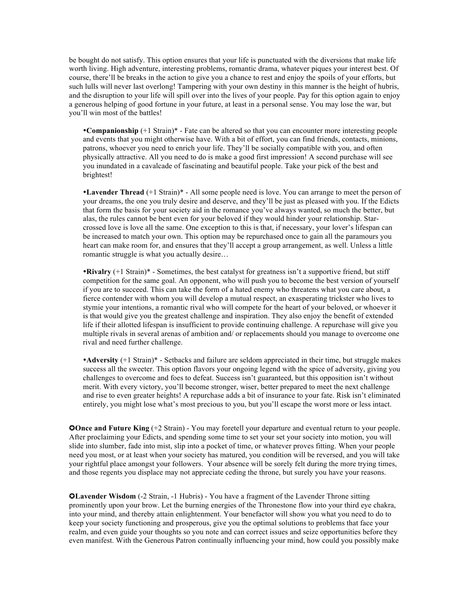be bought do not satisfy. This option ensures that your life is punctuated with the diversions that make life worth living. High adventure, interesting problems, romantic drama, whatever piques your interest best. Of course, there'll be breaks in the action to give you a chance to rest and enjoy the spoils of your efforts, but such lulls will never last overlong! Tampering with your own destiny in this manner is the height of hubris, and the disruption to your life will spill over into the lives of your people. Pay for this option again to enjoy a generous helping of good fortune in your future, at least in a personal sense. You may lose the war, but you'll win most of the battles!

**Companionship** (+1 Strain)\* - Fate can be altered so that you can encounter more interesting people and events that you might otherwise have. With a bit of effort, you can find friends, contacts, minions, patrons, whoever you need to enrich your life. They'll be socially compatible with you, and often physically attractive. All you need to do is make a good first impression! A second purchase will see you inundated in a cavalcade of fascinating and beautiful people. Take your pick of the best and brightest!

**Lavender Thread** (+1 Strain)\* - All some people need is love. You can arrange to meet the person of your dreams, the one you truly desire and deserve, and they'll be just as pleased with you. If the Edicts that form the basis for your society aid in the romance you've always wanted, so much the better, but alas, the rules cannot be bent even for your beloved if they would hinder your relationship. Starcrossed love is love all the same. One exception to this is that, if necessary, your lover's lifespan can be increased to match your own. This option may be repurchased once to gain all the paramours you heart can make room for, and ensures that they'll accept a group arrangement, as well. Unless a little romantic struggle is what you actually desire…

**Rivalry** (+1 Strain)\* - Sometimes, the best catalyst for greatness isn't a supportive friend, but stiff competition for the same goal. An opponent, who will push you to become the best version of yourself if you are to succeed. This can take the form of a hated enemy who threatens what you care about, a fierce contender with whom you will develop a mutual respect, an exasperating trickster who lives to stymie your intentions, a romantic rival who will compete for the heart of your beloved, or whoever it is that would give you the greatest challenge and inspiration. They also enjoy the benefit of extended life if their allotted lifespan is insufficient to provide continuing challenge. A repurchase will give you multiple rivals in several arenas of ambition and/ or replacements should you manage to overcome one rival and need further challenge.

**Adversity** (+1 Strain)\* - Setbacks and failure are seldom appreciated in their time, but struggle makes success all the sweeter. This option flavors your ongoing legend with the spice of adversity, giving you challenges to overcome and foes to defeat. Success isn't guaranteed, but this opposition isn't without merit. With every victory, you'll become stronger, wiser, better prepared to meet the next challenge and rise to even greater heights! A repurchase adds a bit of insurance to your fate. Risk isn't eliminated entirely, you might lose what's most precious to you, but you'll escape the worst more or less intact.

**OOnce and Future King** (+2 Strain) - You may foretell your departure and eventual return to your people. After proclaiming your Edicts, and spending some time to set your set your society into motion, you will slide into slumber, fade into mist, slip into a pocket of time, or whatever proves fitting. When your people need you most, or at least when your society has matured, you condition will be reversed, and you will take your rightful place amongst your followers. Your absence will be sorely felt during the more trying times, and those regents you displace may not appreciate ceding the throne, but surely you have your reasons.

✪**Lavender Wisdom** (-2 Strain, -1 Hubris) - You have a fragment of the Lavender Throne sitting prominently upon your brow. Let the burning energies of the Thronestone flow into your third eye chakra, into your mind, and thereby attain enlightenment. Your benefactor will show you what you need to do to keep your society functioning and prosperous, give you the optimal solutions to problems that face your realm, and even guide your thoughts so you note and can correct issues and seize opportunities before they even manifest. With the Generous Patron continually influencing your mind, how could you possibly make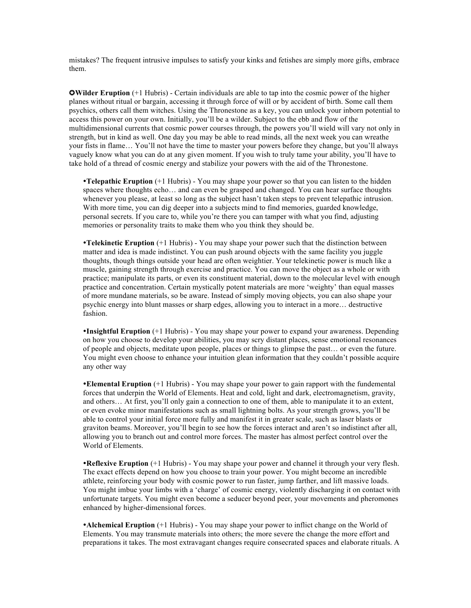mistakes? The frequent intrusive impulses to satisfy your kinks and fetishes are simply more gifts, embrace them.

✪**Wilder Eruption** (+1 Hubris) - Certain individuals are able to tap into the cosmic power of the higher planes without ritual or bargain, accessing it through force of will or by accident of birth. Some call them psychics, others call them witches. Using the Thronestone as a key, you can unlock your inborn potential to access this power on your own. Initially, you'll be a wilder. Subject to the ebb and flow of the multidimensional currents that cosmic power courses through, the powers you'll wield will vary not only in strength, but in kind as well. One day you may be able to read minds, all the next week you can wreathe your fists in flame… You'll not have the time to master your powers before they change, but you'll always vaguely know what you can do at any given moment. If you wish to truly tame your ability, you'll have to take hold of a thread of cosmic energy and stabilize your powers with the aid of the Thronestone.

**Telepathic Eruption** (+1 Hubris) - You may shape your power so that you can listen to the hidden spaces where thoughts echo… and can even be grasped and changed. You can hear surface thoughts whenever you please, at least so long as the subject hasn't taken steps to prevent telepathic intrusion. With more time, you can dig deeper into a subjects mind to find memories, guarded knowledge, personal secrets. If you care to, while you're there you can tamper with what you find, adjusting memories or personality traits to make them who you think they should be.

**Telekinetic Eruption** (+1 Hubris) - You may shape your power such that the distinction between matter and idea is made indistinct. You can push around objects with the same facility you juggle thoughts, though things outside your head are often weightier. Your telekinetic power is much like a muscle, gaining strength through exercise and practice. You can move the object as a whole or with practice; manipulate its parts, or even its constituent material, down to the molecular level with enough practice and concentration. Certain mystically potent materials are more 'weighty' than equal masses of more mundane materials, so be aware. Instead of simply moving objects, you can also shape your psychic energy into blunt masses or sharp edges, allowing you to interact in a more… destructive fashion.

**Insightful Eruption** (+1 Hubris) - You may shape your power to expand your awareness. Depending on how you choose to develop your abilities, you may scry distant places, sense emotional resonances of people and objects, meditate upon people, places or things to glimpse the past… or even the future. You might even choose to enhance your intuition glean information that they couldn't possible acquire any other way

**Elemental Eruption** (+1 Hubris) - You may shape your power to gain rapport with the fundemental forces that underpin the World of Elements. Heat and cold, light and dark, electromagnetism, gravity, and others… At first, you'll only gain a connection to one of them, able to manipulate it to an extent, or even evoke minor manifestations such as small lightning bolts. As your strength grows, you'll be able to control your initial force more fully and manifest it in greater scale, such as laser blasts or graviton beams. Moreover, you'll begin to see how the forces interact and aren't so indistinct after all, allowing you to branch out and control more forces. The master has almost perfect control over the World of Elements.

**Reflexive Eruption** (+1 Hubris) - You may shape your power and channel it through your very flesh. The exact effects depend on how you choose to train your power. You might become an incredible athlete, reinforcing your body with cosmic power to run faster, jump farther, and lift massive loads. You might imbue your limbs with a 'charge' of cosmic energy, violently discharging it on contact with unfortunate targets. You might even become a seducer beyond peer, your movements and pheromones enhanced by higher-dimensional forces.

**Alchemical Eruption** (+1 Hubris) - You may shape your power to inflict change on the World of Elements. You may transmute materials into others; the more severe the change the more effort and preparations it takes. The most extravagant changes require consecrated spaces and elaborate rituals. A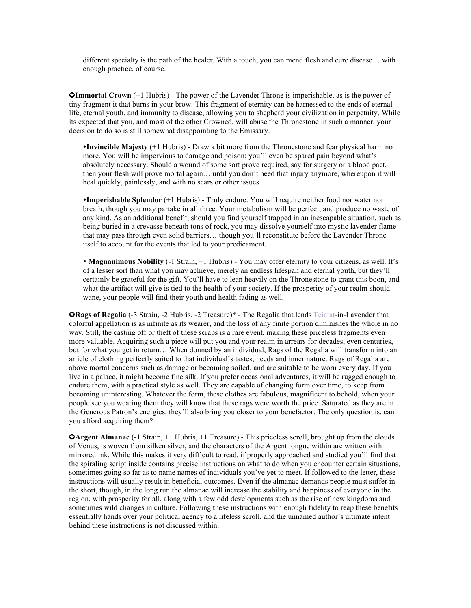different specialty is the path of the healer. With a touch, you can mend flesh and cure disease… with enough practice, of course.

**QImmortal Crown**  $(+1)$  Hubris) - The power of the Lavender Throne is imperishable, as is the power of tiny fragment it that burns in your brow. This fragment of eternity can be harnessed to the ends of eternal life, eternal youth, and immunity to disease, allowing you to shepherd your civilization in perpetuity. While its expected that you, and most of the other Crowned, will abuse the Thronestone in such a manner, your decision to do so is still somewhat disappointing to the Emissary.

**Invincible Majesty** (+1 Hubris) - Draw a bit more from the Thronestone and fear physical harm no more. You will be impervious to damage and poison; you'll even be spared pain beyond what's absolutely necessary. Should a wound of some sort prove required, say for surgery or a blood pact, then your flesh will prove mortal again… until you don't need that injury anymore, whereupon it will heal quickly, painlessly, and with no scars or other issues.

**Imperishable Splendor** (+1 Hubris) - Truly endure. You will require neither food nor water nor breath, though you may partake in all three. Your metabolism will be perfect, and produce no waste of any kind. As an additional benefit, should you find yourself trapped in an inescapable situation, such as being buried in a crevasse beneath tons of rock, you may dissolve yourself into mystic lavender flame that may pass through even solid barriers… though you'll reconstitute before the Lavender Throne itself to account for the events that led to your predicament.

 **Magnanimous Nobility** (-1 Strain, +1 Hubris) - You may offer eternity to your citizens, as well. It's of a lesser sort than what you may achieve, merely an endless lifespan and eternal youth, but they'll certainly be grateful for the gift. You'll have to lean heavily on the Thronestone to grant this boon, and what the artifact will give is tied to the health of your society. If the prosperity of your realm should wane, your people will find their youth and health fading as well.

✪**Rags of Regalia** (-3 Strain, -2 Hubris, -2 Treasure)\* - The Regalia that lends Teiatat-in-Lavender that colorful appellation is as infinite as its wearer, and the loss of any finite portion diminishes the whole in no way. Still, the casting off or theft of these scraps is a rare event, making these priceless fragments even more valuable. Acquiring such a piece will put you and your realm in arrears for decades, even centuries, but for what you get in return… When donned by an individual, Rags of the Regalia will transform into an article of clothing perfectly suited to that individual's tastes, needs and inner nature. Rags of Regalia are above mortal concerns such as damage or becoming soiled, and are suitable to be worn every day. If you live in a palace, it might become fine silk. If you prefer occasional adventures, it will be rugged enough to endure them, with a practical style as well. They are capable of changing form over time, to keep from becoming uninteresting. Whatever the form, these clothes are fabulous, magnificent to behold, when your people see you wearing them they will know that these rags were worth the price. Saturated as they are in the Generous Patron's energies, they'll also bring you closer to your benefactor. The only question is, can you afford acquiring them?

**OArgent Almanac** (-1 Strain, +1 Hubris, +1 Treasure) - This priceless scroll, brought up from the clouds of Venus, is woven from silken silver, and the characters of the Argent tongue within are written with mirrored ink. While this makes it very difficult to read, if properly approached and studied you'll find that the spiraling script inside contains precise instructions on what to do when you encounter certain situations, sometimes going so far as to name names of individuals you've yet to meet. If followed to the letter, these instructions will usually result in beneficial outcomes. Even if the almanac demands people must suffer in the short, though, in the long run the almanac will increase the stability and happiness of everyone in the region, with prosperity for all, along with a few odd developments such as the rise of new kingdoms and sometimes wild changes in culture. Following these instructions with enough fidelity to reap these benefits essentially hands over your political agency to a lifeless scroll, and the unnamed author's ultimate intent behind these instructions is not discussed within.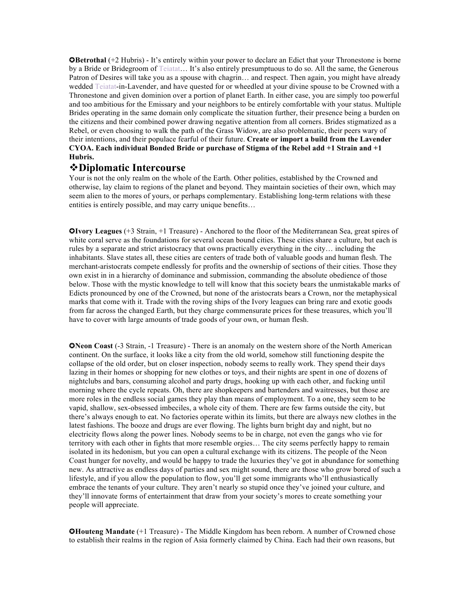**GBetrothal** (+2 Hubris) - It's entirely within your power to declare an Edict that your Thronestone is borne by a Bride or Bridegroom of Teiatat… It's also entirely presumptuous to do so. All the same, the Generous Patron of Desires will take you as a spouse with chagrin… and respect. Then again, you might have already wedded Teiatat-in-Lavender, and have quested for or wheedled at your divine spouse to be Crowned with a Thronestone and given dominion over a portion of planet Earth. In either case, you are simply too powerful and too ambitious for the Emissary and your neighbors to be entirely comfortable with your status. Multiple Brides operating in the same domain only complicate the situation further, their presence being a burden on the citizens and their combined power drawing negative attention from all corners. Brides stigmatized as a Rebel, or even choosing to walk the path of the Grass Widow, are also problematic, their peers wary of their intentions, and their populace fearful of their future. **Create or import a build from the Lavender CYOA. Each individual Bonded Bride or purchase of Stigma of the Rebel add +1 Strain and +1 Hubris.**

#### v**Diplomatic Intercourse**

Your is not the only realm on the whole of the Earth. Other polities, established by the Crowned and otherwise, lay claim to regions of the planet and beyond. They maintain societies of their own, which may seem alien to the mores of yours, or perhaps complementary. Establishing long-term relations with these entities is entirely possible, and may carry unique benefits…

✪**Ivory Leagues** (+3 Strain, +1 Treasure) - Anchored to the floor of the Mediterranean Sea, great spires of white coral serve as the foundations for several ocean bound cities. These cities share a culture, but each is rules by a separate and strict aristocracy that owns practically everything in the city… including the inhabitants. Slave states all, these cities are centers of trade both of valuable goods and human flesh. The merchant-aristocrats compete endlessly for profits and the ownership of sections of their cities. Those they own exist in in a hierarchy of dominance and submission, commanding the absolute obedience of those below. Those with the mystic knowledge to tell will know that this society bears the unmistakable marks of Edicts pronounced by one of the Crowned, but none of the aristocrats bears a Crown, nor the metaphysical marks that come with it. Trade with the roving ships of the Ivory leagues can bring rare and exotic goods from far across the changed Earth, but they charge commensurate prices for these treasures, which you'll have to cover with large amounts of trade goods of your own, or human flesh.

✪**Neon Coast** (-3 Strain, -1 Treasure) - There is an anomaly on the western shore of the North American continent. On the surface, it looks like a city from the old world, somehow still functioning despite the collapse of the old order, but on closer inspection, nobody seems to really work. They spend their days lazing in their homes or shopping for new clothes or toys, and their nights are spent in one of dozens of nightclubs and bars, consuming alcohol and party drugs, hooking up with each other, and fucking until morning where the cycle repeats. Oh, there are shopkeepers and bartenders and waitresses, but those are more roles in the endless social games they play than means of employment. To a one, they seem to be vapid, shallow, sex-obsessed imbeciles, a whole city of them. There are few farms outside the city, but there's always enough to eat. No factories operate within its limits, but there are always new clothes in the latest fashions. The booze and drugs are ever flowing. The lights burn bright day and night, but no electricity flows along the power lines. Nobody seems to be in charge, not even the gangs who vie for territory with each other in fights that more resemble orgies… The city seems perfectly happy to remain isolated in its hedonism, but you can open a cultural exchange with its citizens. The people of the Neon Coast hunger for novelty, and would be happy to trade the luxuries they've got in abundance for something new. As attractive as endless days of parties and sex might sound, there are those who grow bored of such a lifestyle, and if you allow the population to flow, you'll get some immigrants who'll enthusiastically embrace the tenants of your culture. They aren't nearly so stupid once they've joined your culture, and they'll innovate forms of entertainment that draw from your society's mores to create something your people will appreciate.

✪**Houteng Mandate** (+1 Treasure) - The Middle Kingdom has been reborn. A number of Crowned chose to establish their realms in the region of Asia formerly claimed by China. Each had their own reasons, but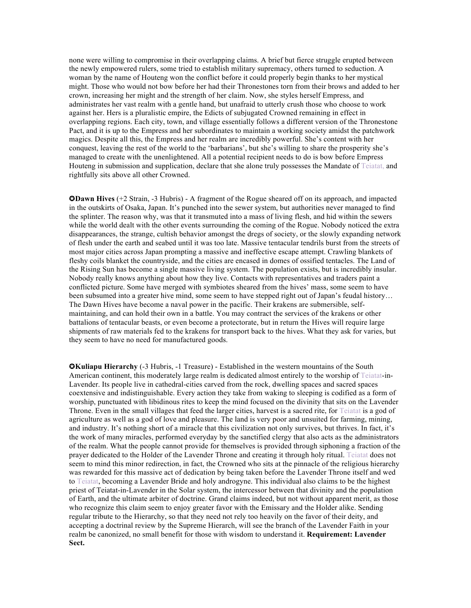none were willing to compromise in their overlapping claims. A brief but fierce struggle erupted between the newly empowered rulers, some tried to establish military supremacy, others turned to seduction. A woman by the name of Houteng won the conflict before it could properly begin thanks to her mystical might. Those who would not bow before her had their Thronestones torn from their brows and added to her crown, increasing her might and the strength of her claim. Now, she styles herself Empress, and administrates her vast realm with a gentle hand, but unafraid to utterly crush those who choose to work against her. Hers is a pluralistic empire, the Edicts of subjugated Crowned remaining in effect in overlapping regions. Each city, town, and village essentially follows a different version of the Thronestone Pact, and it is up to the Empress and her subordinates to maintain a working society amidst the patchwork magics. Despite all this, the Empress and her realm are incredibly powerful. She's content with her conquest, leaving the rest of the world to the 'barbarians', but she's willing to share the prosperity she's managed to create with the unenlightened. All a potential recipient needs to do is bow before Empress Houteng in submission and supplication, declare that she alone truly possesses the Mandate of Teiatat, and rightfully sits above all other Crowned.

✪**Dawn Hives** (+2 Strain, -3 Hubris) - A fragment of the Rogue sheared off on its approach, and impacted in the outskirts of Osaka, Japan. It's punched into the sewer system, but authorities never managed to find the splinter. The reason why, was that it transmuted into a mass of living flesh, and hid within the sewers while the world dealt with the other events surrounding the coming of the Rogue. Nobody noticed the extra disappearances, the strange, cultish behavior amongst the dregs of society, or the slowly expanding network of flesh under the earth and seabed until it was too late. Massive tentacular tendrils burst from the streets of most major cities across Japan prompting a massive and ineffective escape attempt. Crawling blankets of fleshy coils blanket the countryside, and the cities are encased in domes of ossified tentacles. The Land of the Rising Sun has become a single massive living system. The population exists, but is incredibly insular. Nobody really knows anything about how they live. Contacts with representatives and traders paint a conflicted picture. Some have merged with symbiotes sheared from the hives' mass, some seem to have been subsumed into a greater hive mind, some seem to have stepped right out of Japan's feudal history… The Dawn Hives have become a naval power in the pacific. Their krakens are submersible, selfmaintaining, and can hold their own in a battle. You may contract the services of the krakens or other battalions of tentacular beasts, or even become a protectorate, but in return the Hives will require large shipments of raw materials fed to the krakens for transport back to the hives. What they ask for varies, but they seem to have no need for manufactured goods.

✪**Kuliapu Hierarchy** (-3 Hubris, -1 Treasure) - Established in the western mountains of the South American continent, this moderately large realm is dedicated almost entirely to the worship of Teiatat-in-Lavender. Its people live in cathedral-cities carved from the rock, dwelling spaces and sacred spaces coextensive and indistinguishable. Every action they take from waking to sleeping is codified as a form of worship, punctuated with libidinous rites to keep the mind focused on the divinity that sits on the Lavender Throne. Even in the small villages that feed the larger cities, harvest is a sacred rite, for Teiatat is a god of agriculture as well as a god of love and pleasure. The land is very poor and unsuited for farming, mining, and industry. It's nothing short of a miracle that this civilization not only survives, but thrives. In fact, it's the work of many miracles, performed everyday by the sanctified clergy that also acts as the administrators of the realm. What the people cannot provide for themselves is provided through siphoning a fraction of the prayer dedicated to the Holder of the Lavender Throne and creating it through holy ritual. Teiatat does not seem to mind this minor redirection, in fact, the Crowned who sits at the pinnacle of the religious hierarchy was rewarded for this massive act of dedication by being taken before the Lavender Throne itself and wed to Teiatat, becoming a Lavender Bride and holy androgyne. This individual also claims to be the highest priest of Teiatat-in-Lavender in the Solar system, the intercessor between that divinity and the population of Earth, and the ultimate arbiter of doctrine. Grand claims indeed, but not without apparent merit, as those who recognize this claim seem to enjoy greater favor with the Emissary and the Holder alike. Sending regular tribute to the Hierarchy, so that they need not rely too heavily on the favor of their deity, and accepting a doctrinal review by the Supreme Hierarch, will see the branch of the Lavender Faith in your realm be canonized, no small benefit for those with wisdom to understand it. **Requirement: Lavender Sect.**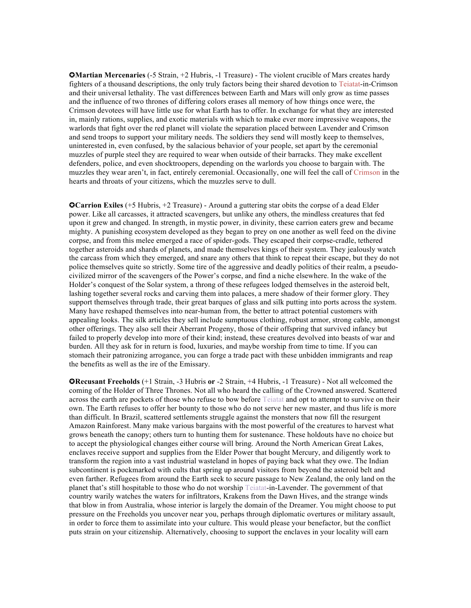✪**Martian Mercenaries** (-5 Strain, +2 Hubris, -1 Treasure) - The violent crucible of Mars creates hardy fighters of a thousand descriptions, the only truly factors being their shared devotion to Teiatat-in-Crimson and their universal lethality. The vast differences between Earth and Mars will only grow as time passes and the influence of two thrones of differing colors erases all memory of how things once were, the Crimson devotees will have little use for what Earth has to offer. In exchange for what they are interested in, mainly rations, supplies, and exotic materials with which to make ever more impressive weapons, the warlords that fight over the red planet will violate the separation placed between Lavender and Crimson and send troops to support your military needs. The soldiers they send will mostly keep to themselves, uninterested in, even confused, by the salacious behavior of your people, set apart by the ceremonial muzzles of purple steel they are required to wear when outside of their barracks. They make excellent defenders, police, and even shocktroopers, depending on the warlords you choose to bargain with. The muzzles they wear aren't, in fact, entirely ceremonial. Occasionally, one will feel the call of Crimson in the hearts and throats of your citizens, which the muzzles serve to dull.

✪**Carrion Exiles** (+5 Hubris, +2 Treasure) - Around a guttering star obits the corpse of a dead Elder power. Like all carcasses, it attracted scavengers, but unlike any others, the mindless creatures that fed upon it grew and changed. In strength, in mystic power, in divinity, these carrion eaters grew and became mighty. A punishing ecosystem developed as they began to prey on one another as well feed on the divine corpse, and from this melee emerged a race of spider-gods. They escaped their corpse-cradle, tethered together asteroids and shards of planets, and made themselves kings of their system. They jealously watch the carcass from which they emerged, and snare any others that think to repeat their escape, but they do not police themselves quite so strictly. Some tire of the aggressive and deadly politics of their realm, a pseudocivilized mirror of the scavengers of the Power's corpse, and find a niche elsewhere. In the wake of the Holder's conquest of the Solar system, a throng of these refugees lodged themselves in the asteroid belt, lashing together several rocks and carving them into palaces, a mere shadow of their former glory. They support themselves through trade, their great barques of glass and silk putting into ports across the system. Many have reshaped themselves into near-human from, the better to attract potential customers with appealing looks. The silk articles they sell include sumptuous clothing, robust armor, strong cable, amongst other offerings. They also sell their Aberrant Progeny, those of their offspring that survived infancy but failed to properly develop into more of their kind; instead, these creatures devolved into beasts of war and burden. All they ask for in return is food, luxuries, and maybe worship from time to time. If you can stomach their patronizing arrogance, you can forge a trade pact with these unbidden immigrants and reap the benefits as well as the ire of the Emissary.

✪**Recusant Freeholds** (+1 Strain, -3 Hubris **or** -2 Strain, +4 Hubris, -1 Treasure) - Not all welcomed the coming of the Holder of Three Thrones. Not all who heard the calling of the Crowned answered. Scattered across the earth are pockets of those who refuse to bow before Teiatat and opt to attempt to survive on their own. The Earth refuses to offer her bounty to those who do not serve her new master, and thus life is more than difficult. In Brazil, scattered settlements struggle against the monsters that now fill the resurgent Amazon Rainforest. Many make various bargains with the most powerful of the creatures to harvest what grows beneath the canopy; others turn to hunting them for sustenance. These holdouts have no choice but to accept the physiological changes either course will bring. Around the North American Great Lakes, enclaves receive support and supplies from the Elder Power that bought Mercury, and diligently work to transform the region into a vast industrial wasteland in hopes of paying back what they owe. The Indian subcontinent is pockmarked with cults that spring up around visitors from beyond the asteroid belt and even farther. Refugees from around the Earth seek to secure passage to New Zealand, the only land on the planet that's still hospitable to those who do not worship Teiatat-in-Lavender. The government of that country warily watches the waters for infiltrators, Krakens from the Dawn Hives, and the strange winds that blow in from Australia, whose interior is largely the domain of the Dreamer. You might choose to put pressure on the Freeholds you uncover near you, perhaps through diplomatic overtures or military assault, in order to force them to assimilate into your culture. This would please your benefactor, but the conflict puts strain on your citizenship. Alternatively, choosing to support the enclaves in your locality will earn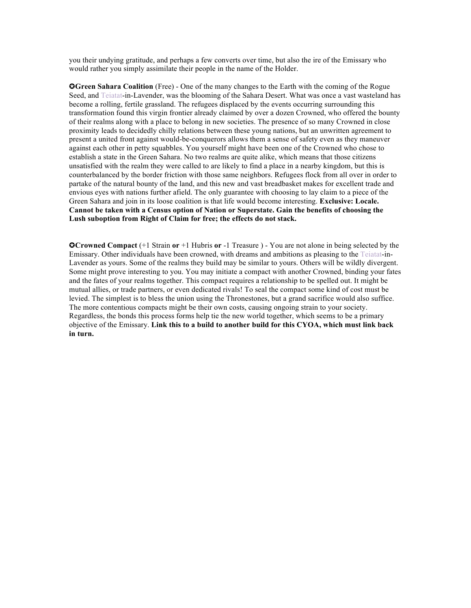you their undying gratitude, and perhaps a few converts over time, but also the ire of the Emissary who would rather you simply assimilate their people in the name of the Holder.

✪**Green Sahara Coalition** (Free) - One of the many changes to the Earth with the coming of the Rogue Seed, and Teiatat-in-Lavender, was the blooming of the Sahara Desert. What was once a vast wasteland has become a rolling, fertile grassland. The refugees displaced by the events occurring surrounding this transformation found this virgin frontier already claimed by over a dozen Crowned, who offered the bounty of their realms along with a place to belong in new societies. The presence of so many Crowned in close proximity leads to decidedly chilly relations between these young nations, but an unwritten agreement to present a united front against would-be-conquerors allows them a sense of safety even as they maneuver against each other in petty squabbles. You yourself might have been one of the Crowned who chose to establish a state in the Green Sahara. No two realms are quite alike, which means that those citizens unsatisfied with the realm they were called to are likely to find a place in a nearby kingdom, but this is counterbalanced by the border friction with those same neighbors. Refugees flock from all over in order to partake of the natural bounty of the land, and this new and vast breadbasket makes for excellent trade and envious eyes with nations further afield. The only guarantee with choosing to lay claim to a piece of the Green Sahara and join in its loose coalition is that life would become interesting. **Exclusive: Locale. Cannot be taken with a Census option of Nation or Superstate. Gain the benefits of choosing the Lush suboption from Right of Claim for free; the effects do not stack.**

✪**Crowned Compact** (+1 Strain **or** +1 Hubris **or** -1 Treasure ) - You are not alone in being selected by the Emissary. Other individuals have been crowned, with dreams and ambitions as pleasing to the Teiatat-in-Lavender as yours. Some of the realms they build may be similar to yours. Others will be wildly divergent. Some might prove interesting to you. You may initiate a compact with another Crowned, binding your fates and the fates of your realms together. This compact requires a relationship to be spelled out. It might be mutual allies, or trade partners, or even dedicated rivals! To seal the compact some kind of cost must be levied. The simplest is to bless the union using the Thronestones, but a grand sacrifice would also suffice. The more contentious compacts might be their own costs, causing ongoing strain to your society. Regardless, the bonds this process forms help tie the new world together, which seems to be a primary objective of the Emissary. **Link this to a build to another build for this CYOA, which must link back in turn.**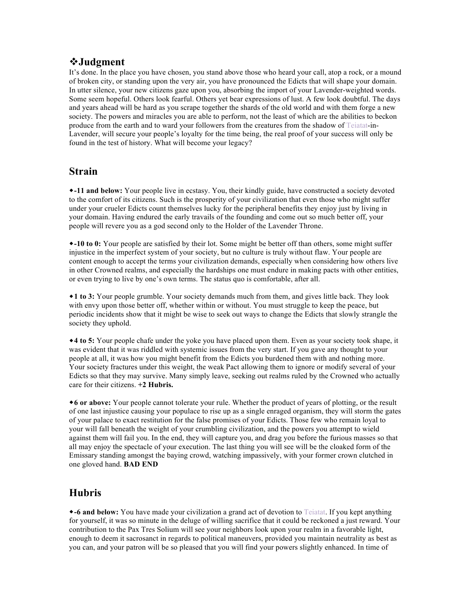#### v**Judgment**

It's done. In the place you have chosen, you stand above those who heard your call, atop a rock, or a mound of broken city, or standing upon the very air, you have pronounced the Edicts that will shape your domain. In utter silence, your new citizens gaze upon you, absorbing the import of your Lavender-weighted words. Some seem hopeful. Others look fearful. Others yet bear expressions of lust. A few look doubtful. The days and years ahead will be hard as you scrape together the shards of the old world and with them forge a new society. The powers and miracles you are able to perform, not the least of which are the abilities to beckon produce from the earth and to ward your followers from the creatures from the shadow of Teiatat-in-Lavender, will secure your people's loyalty for the time being, the real proof of your success will only be found in the test of history. What will become your legacy?

## **Strain**

\*-11 and below: Your people live in ecstasy. You, their kindly guide, have constructed a society devoted to the comfort of its citizens. Such is the prosperity of your civilization that even those who might suffer under your crueler Edicts count themselves lucky for the peripheral benefits they enjoy just by living in your domain. Having endured the early travails of the founding and come out so much better off, your people will revere you as a god second only to the Holder of the Lavender Throne.

w**-10 to 0:** Your people are satisfied by their lot. Some might be better off than others, some might suffer injustice in the imperfect system of your society, but no culture is truly without flaw. Your people are content enough to accept the terms your civilization demands, especially when considering how others live in other Crowned realms, and especially the hardships one must endure in making pacts with other entities, or even trying to live by one's own terms. The status quo is comfortable, after all.

w**1 to 3:** Your people grumble. Your society demands much from them, and gives little back. They look with envy upon those better off, whether within or without. You must struggle to keep the peace, but periodic incidents show that it might be wise to seek out ways to change the Edicts that slowly strangle the society they uphold.

 $*$ **4 to 5:** Your people chafe under the yoke you have placed upon them. Even as your society took shape, it was evident that it was riddled with systemic issues from the very start. If you gave any thought to your people at all, it was how you might benefit from the Edicts you burdened them with and nothing more. Your society fractures under this weight, the weak Pact allowing them to ignore or modify several of your Edicts so that they may survive. Many simply leave, seeking out realms ruled by the Crowned who actually care for their citizens. **+2 Hubris.**

w**6 or above:** Your people cannot tolerate your rule. Whether the product of years of plotting, or the result of one last injustice causing your populace to rise up as a single enraged organism, they will storm the gates of your palace to exact restitution for the false promises of your Edicts. Those few who remain loyal to your will fall beneath the weight of your crumbling civilization, and the powers you attempt to wield against them will fail you. In the end, they will capture you, and drag you before the furious masses so that all may enjoy the spectacle of your execution. The last thing you will see will be the cloaked form of the Emissary standing amongst the baying crowd, watching impassively, with your former crown clutched in one gloved hand. **BAD END**

# **Hubris**

w**-6 and below:** You have made your civilization a grand act of devotion to Teiatat. If you kept anything for yourself, it was so minute in the deluge of willing sacrifice that it could be reckoned a just reward. Your contribution to the Pax Tres Solium will see your neighbors look upon your realm in a favorable light, enough to deem it sacrosanct in regards to political maneuvers, provided you maintain neutrality as best as you can, and your patron will be so pleased that you will find your powers slightly enhanced. In time of